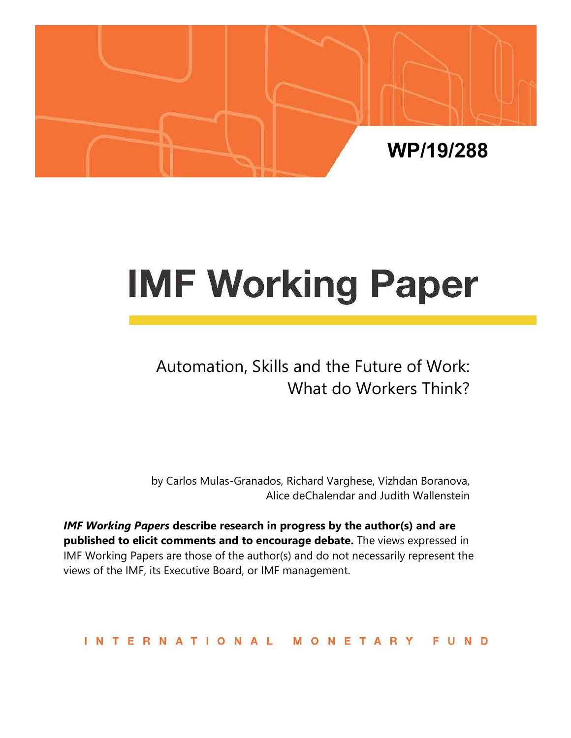

# **IMF Working Paper**

# Automation, Skills and the Future of Work: What do Workers Think?

by Carlos Mulas-Granados, Richard Varghese, Vizhdan Boranova, Alice deChalendar and Judith Wallenstein

*IMF Working Papers* **describe research in progress by the author(s) and are published to elicit comments and to encourage debate.** The views expressed in IMF Working Papers are those of the author(s) and do not necessarily represent the views of the IMF, its Executive Board, or IMF management.

**INTERNATIONAL** MONETARY FUND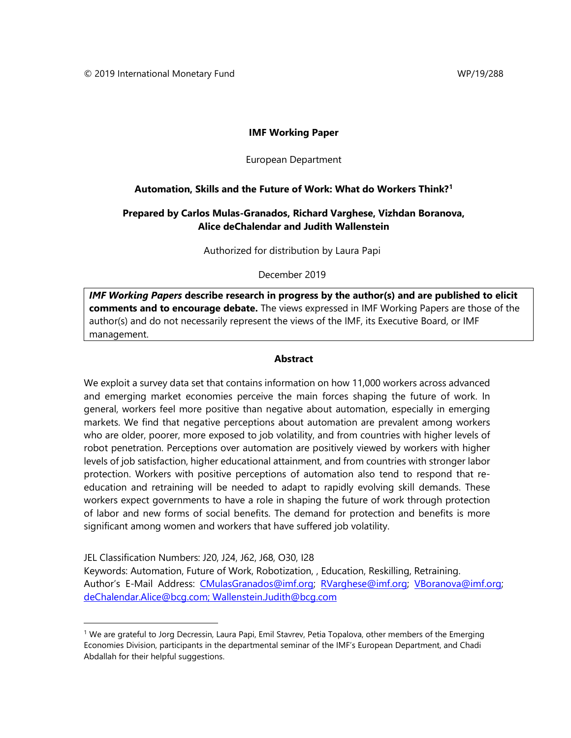#### **IMF Working Paper**

#### European Department

#### **Automation, Skills and the Future of Work: What do Workers Think?[1](#page-1-0)**

## **Prepared by Carlos Mulas-Granados, Richard Varghese, Vizhdan Boranova, Alice deChalendar and Judith Wallenstein**

Authorized for distribution by Laura Papi

December 2019

*IMF Working Papers* **describe research in progress by the author(s) and are published to elicit comments and to encourage debate.** The views expressed in IMF Working Papers are those of the author(s) and do not necessarily represent the views of the IMF, its Executive Board, or IMF management.

#### **Abstract**

<span id="page-1-1"></span>We exploit a survey data set that contains information on how 11,000 workers across advanced and emerging market economies perceive the main forces shaping the future of work. In general, workers feel more positive than negative about automation, especially in emerging markets. We find that negative perceptions about automation are prevalent among workers who are older, poorer, more exposed to job volatility, and from countries with higher levels of robot penetration. Perceptions over automation are positively viewed by workers with higher levels of job satisfaction, higher educational attainment, and from countries with stronger labor protection. Workers with positive perceptions of automation also tend to respond that reeducation and retraining will be needed to adapt to rapidly evolving skill demands. These workers expect governments to have a role in shaping the future of work through protection of labor and new forms of social benefits. The demand for protection and benefits is more significant among women and workers that have suffered job volatility.

JEL Classification Numbers: J20, J24, J62, J68, O30, I28 Keywords: Automation, Future of Work, Robotization, , Education, Reskilling, Retraining. Author's E-Mail Address: [CMulasGranados@imf.org;](mailto:CMulasGranados@imf.org) [RVarghese@imf.org;](mailto:RVarghese@imf.org) VBoranova@imf.org; [deChalendar.Alice@bcg.com;](mailto:deChalendar.Alice@bcg.com) Wallenstein.Judith@bcg.com

<span id="page-1-0"></span><sup>1</sup> We are grateful to Jorg Decressin, Laura Papi, Emil Stavrev, Petia Topalova, other members of the Emerging Economies Division, participants in the departmental seminar of the IMF's European Department, and Chadi Abdallah for their helpful suggestions.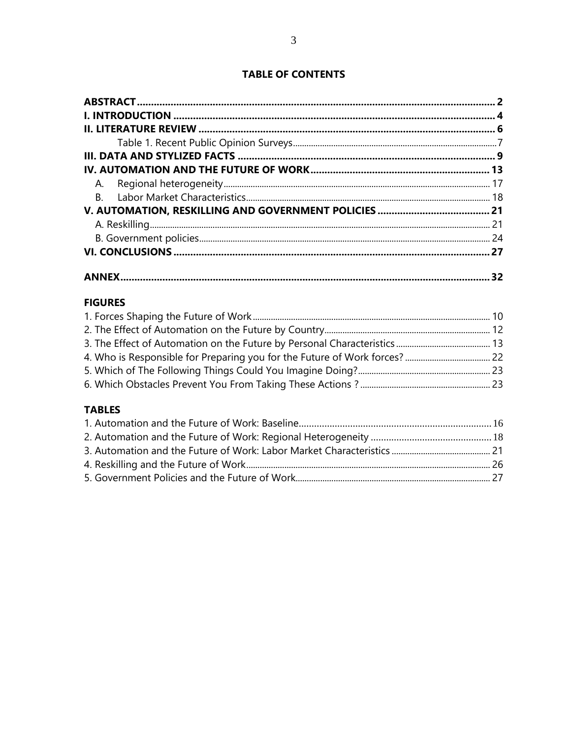# **TABLE OF CONTENTS**

| 32 |
|----|

# **FIGURES**

# **TABLES**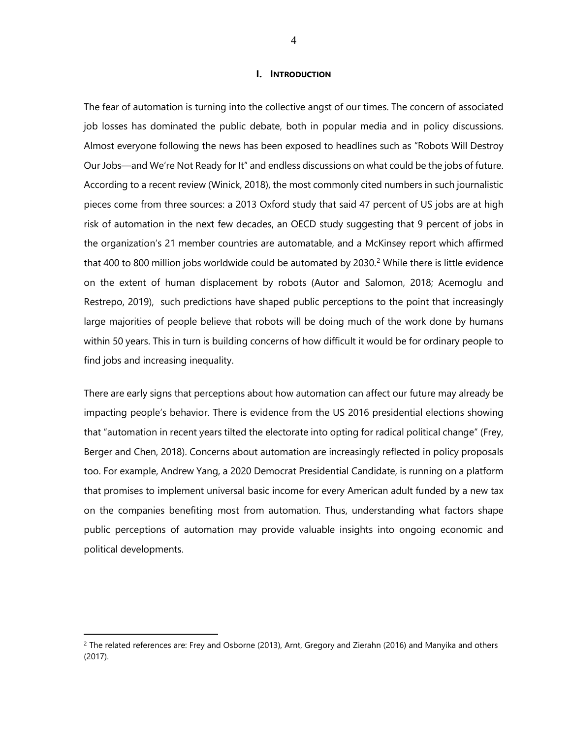#### **I. INTRODUCTION**

<span id="page-3-0"></span>The fear of automation is turning into the collective angst of our times. The concern of associated job losses has dominated the public debate, both in popular media and in policy discussions. Almost everyone following the news has been exposed to headlines such as "Robots Will Destroy Our Jobs—and We're Not Ready for It" and endless discussions on what could be the jobs of future. According to a recent review (Winick, 2018), the most commonly cited numbers in such journalistic pieces come from three sources: a 2013 Oxford study that said 47 percent of US jobs are at high risk of automation in the next few decades, an OECD study suggesting that 9 percent of jobs in the organization's 21 member countries are automatable, and a McKinsey report which affirmed that 400 to 800 million jobs worldwide could be automated by  $2030<sup>2</sup>$  $2030<sup>2</sup>$  While there is little evidence on the extent of human displacement by robots (Autor and Salomon, 2018; Acemoglu and Restrepo, 2019), such predictions have shaped public perceptions to the point that increasingly large majorities of people believe that robots will be doing much of the work done by humans within 50 years. This in turn is building concerns of how difficult it would be for ordinary people to find jobs and increasing inequality.

There are early signs that perceptions about how automation can affect our future may already be impacting people's behavior. There is evidence from the US 2016 presidential elections showing that "automation in recent years tilted the electorate into opting for radical political change" (Frey, Berger and Chen, 2018). Concerns about automation are increasingly reflected in policy proposals too. For example, Andrew Yang, a 2020 Democrat Presidential Candidate, is running on a platform that promises to implement universal basic income for every American adult funded by a new tax on the companies benefiting most from automation. Thus, understanding what factors shape public perceptions of automation may provide valuable insights into ongoing economic and political developments.

 $\overline{a}$ 

<span id="page-3-1"></span> $2$  The related references are: Frey and Osborne (2013), Arnt, Gregory and Zierahn (2016) and Manyika and others (2017).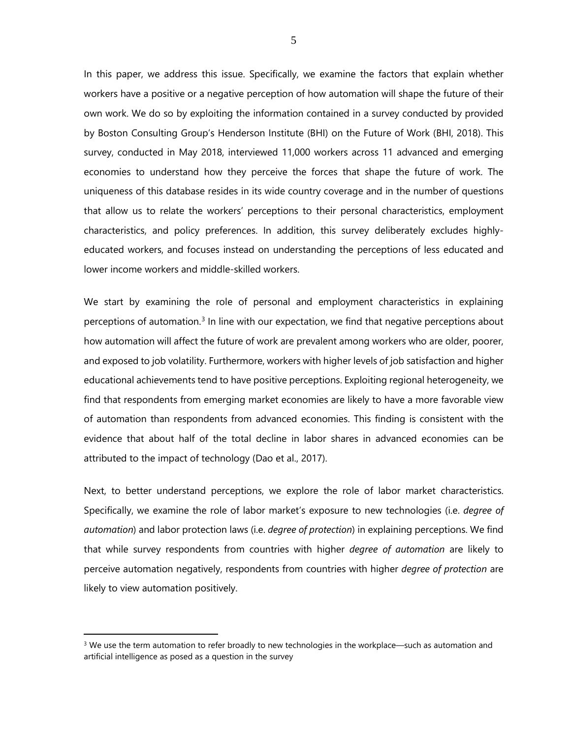In this paper, we address this issue. Specifically, we examine the factors that explain whether workers have a positive or a negative perception of how automation will shape the future of their own work. We do so by exploiting the information contained in a survey conducted by provided by Boston Consulting Group's Henderson Institute (BHI) on the Future of Work (BHI, 2018). This survey, conducted in May 2018, interviewed 11,000 workers across 11 advanced and emerging economies to understand how they perceive the forces that shape the future of work. The uniqueness of this database resides in its wide country coverage and in the number of questions that allow us to relate the workers' perceptions to their personal characteristics, employment characteristics, and policy preferences. In addition, this survey deliberately excludes highlyeducated workers, and focuses instead on understanding the perceptions of less educated and lower income workers and middle-skilled workers.

We start by examining the role of personal and employment characteristics in explaining perceptions of automation.<sup>[3](#page-4-0)</sup> In line with our expectation, we find that negative perceptions about how automation will affect the future of work are prevalent among workers who are older, poorer, and exposed to job volatility. Furthermore, workers with higher levels of job satisfaction and higher educational achievements tend to have positive perceptions. Exploiting regional heterogeneity, we find that respondents from emerging market economies are likely to have a more favorable view of automation than respondents from advanced economies. This finding is consistent with the evidence that about half of the total decline in labor shares in advanced economies can be attributed to the impact of technology (Dao et al., 2017).

Next, to better understand perceptions, we explore the role of labor market characteristics. Specifically, we examine the role of labor market's exposure to new technologies (i.e. *degree of automation*) and labor protection laws (i.e. *degree of protection*) in explaining perceptions. We find that while survey respondents from countries with higher *degree of automation* are likely to perceive automation negatively, respondents from countries with higher *degree of protection* are likely to view automation positively.

 $\overline{a}$ 

5

<span id="page-4-0"></span> $3$  We use the term automation to refer broadly to new technologies in the workplace—such as automation and artificial intelligence as posed as a question in the survey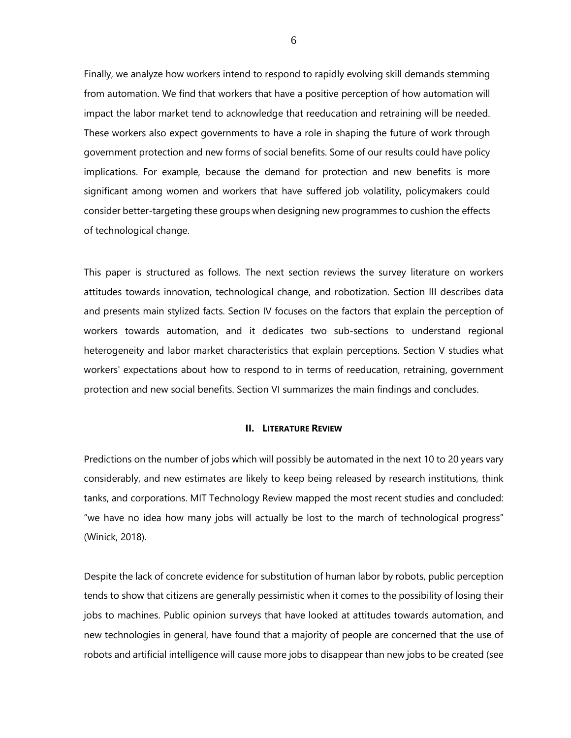Finally, we analyze how workers intend to respond to rapidly evolving skill demands stemming from automation. We find that workers that have a positive perception of how automation will impact the labor market tend to acknowledge that reeducation and retraining will be needed. These workers also expect governments to have a role in shaping the future of work through government protection and new forms of social benefits. Some of our results could have policy implications. For example, because the demand for protection and new benefits is more significant among women and workers that have suffered job volatility, policymakers could consider better-targeting these groups when designing new programmes to cushion the effects of technological change.

This paper is structured as follows. The next section reviews the survey literature on workers attitudes towards innovation, technological change, and robotization. Section III describes data and presents main stylized facts. Section IV focuses on the factors that explain the perception of workers towards automation, and it dedicates two sub-sections to understand regional heterogeneity and labor market characteristics that explain perceptions. Section V studies what workers' expectations about how to respond to in terms of reeducation, retraining, government protection and new social benefits. Section VI summarizes the main findings and concludes.

#### **II. LITERATURE REVIEW**

<span id="page-5-0"></span>Predictions on the number of jobs which will possibly be automated in the next 10 to 20 years vary considerably, and new estimates are likely to keep being released by research institutions, think tanks, and corporations. MIT Technology Review mapped the most recent studies and concluded: "we have no idea how many jobs will actually be lost to the march of technological progress" (Winick, 2018).

Despite the lack of concrete evidence for substitution of human labor by robots, public perception tends to show that citizens are generally pessimistic when it comes to the possibility of losing their jobs to machines. Public opinion surveys that have looked at attitudes towards automation, and new technologies in general, have found that a majority of people are concerned that the use of robots and artificial intelligence will cause more jobs to disappear than new jobs to be created (see

6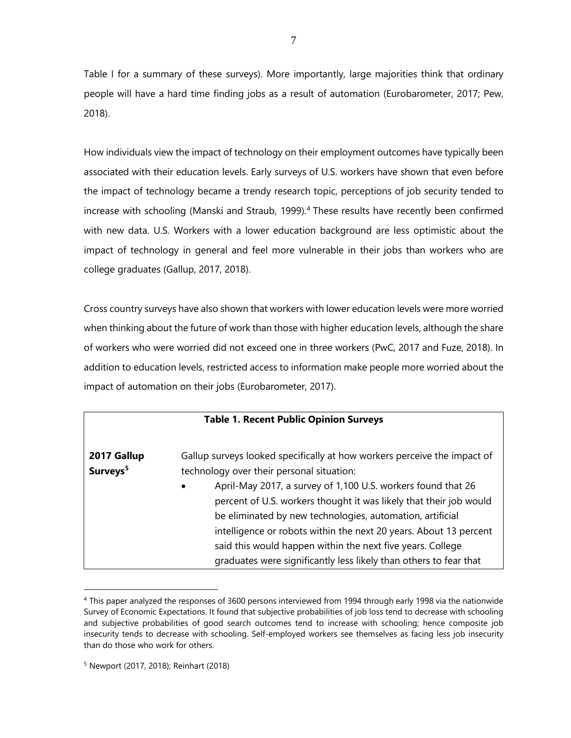Table I for a summary of these surveys). More importantly, large majorities think that ordinary people will have a hard time finding jobs as a result of automation (Eurobarometer, 2017; Pew, 2018).

How individuals view the impact of technology on their employment outcomes have typically been associated with their education levels. Early surveys of U.S. workers have shown that even before the impact of technology became a trendy research topic, perceptions of job security tended to increase with schooling (Manski and Straub, 1999).<sup>[4](#page-6-1)</sup> These results have recently been confirmed with new data. U.S. Workers with a lower education background are less optimistic about the impact of technology in general and feel more vulnerable in their jobs than workers who are college graduates (Gallup, 2017, 2018).

Cross country surveys have also shown that workers with lower education levels were more worried when thinking about the future of work than those with higher education levels, although the share of workers who were worried did not exceed one in three workers (PwC, 2017 and Fuze, 2018). In addition to education levels, restricted access to information make people more worried about the impact of automation on their jobs (Eurobarometer, 2017).

<span id="page-6-0"></span>

|                      | <b>Table 1. Recent Public Opinion Surveys</b>                             |
|----------------------|---------------------------------------------------------------------------|
| 2017 Gallup          | Gallup surveys looked specifically at how workers perceive the impact of  |
| Surveys <sup>5</sup> | technology over their personal situation:                                 |
|                      | April-May 2017, a survey of 1,100 U.S. workers found that 26<br>$\bullet$ |
|                      | percent of U.S. workers thought it was likely that their job would        |
|                      | be eliminated by new technologies, automation, artificial                 |
|                      | intelligence or robots within the next 20 years. About 13 percent         |
|                      | said this would happen within the next five years. College                |
|                      | graduates were significantly less likely than others to fear that         |

<span id="page-6-1"></span><sup>4</sup> This paper analyzed the responses of 3600 persons interviewed from 1994 through early 1998 via the nationwide Survey of Economic Expectations. It found that subjective probabilities of job loss tend to decrease with schooling and subjective probabilities of good search outcomes tend to increase with schooling; hence composite job insecurity tends to decrease with schooling. Self-employed workers see themselves as facing less job insecurity than do those who work for others.

 $\overline{a}$ 

<span id="page-6-2"></span><sup>5</sup> Newport (2017, 2018); Reinhart (2018)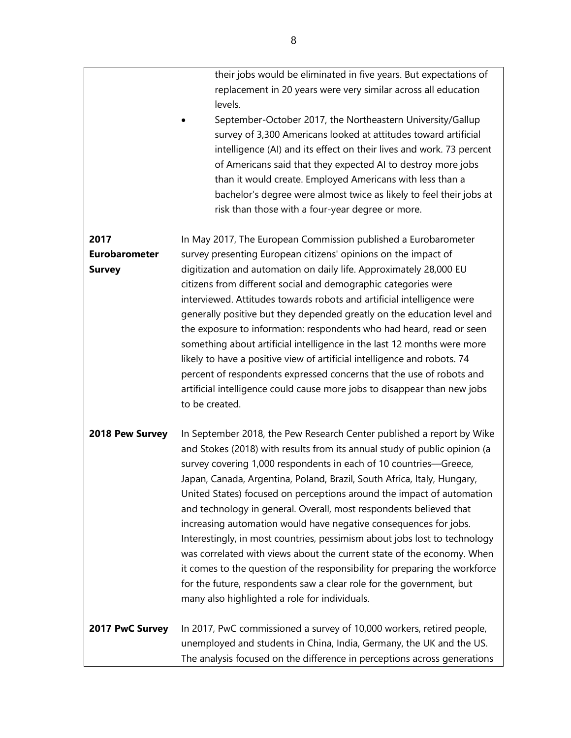their jobs would be eliminated in five years. But expectations of replacement in 20 years were very similar across all education levels.

• September-October 2017, the Northeastern University/Gallup survey of 3,300 Americans looked at attitudes toward artificial intelligence (AI) and its effect on their lives and work. 73 percent of Americans said that they expected AI to destroy more jobs than it would create. Employed Americans with less than a bachelor's degree were almost twice as likely to feel their jobs at risk than those with a four-year degree or more.

**2017 Eurobarometer Survey** In May 2017, The European Commission published a Eurobarometer survey presenting European citizens' opinions on the impact of digitization and automation on daily life. Approximately 28,000 EU citizens from different social and demographic categories were interviewed. Attitudes towards robots and artificial intelligence were generally positive but they depended greatly on the education level and the exposure to information: respondents who had heard, read or seen something about artificial intelligence in the last 12 months were more likely to have a positive view of artificial intelligence and robots. 74 percent of respondents expressed concerns that the use of robots and artificial intelligence could cause more jobs to disappear than new jobs to be created.

**2018 Pew Survey** In September 2018, the Pew Research Center published a report by Wike and Stokes (2018) with results from its annual study of public opinion (a survey covering 1,000 respondents in each of 10 countries—Greece, Japan, Canada, Argentina, Poland, Brazil, South Africa, Italy, Hungary, United States) focused on perceptions around the impact of automation and technology in general. Overall, most respondents believed that increasing automation would have negative consequences for jobs. Interestingly, in most countries, pessimism about jobs lost to technology was correlated with views about the current state of the economy. When it comes to the question of the responsibility for preparing the workforce for the future, respondents saw a clear role for the government, but many also highlighted a role for individuals.

**2017 PwC Survey** In 2017, PwC commissioned a survey of 10,000 workers, retired people, unemployed and students in China, India, Germany, the UK and the US. The analysis focused on the difference in perceptions across generations

8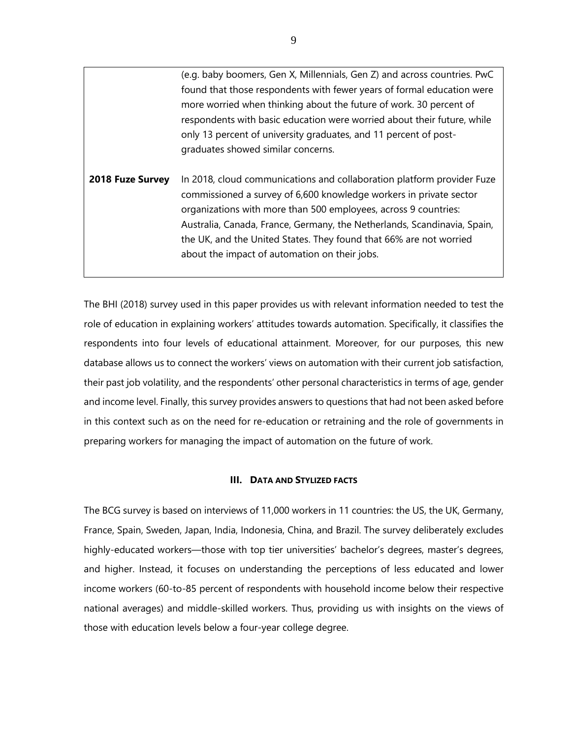(e.g. baby boomers, Gen X, Millennials, Gen Z) and across countries. PwC found that those respondents with fewer years of formal education were more worried when thinking about the future of work. 30 percent of respondents with basic education were worried about their future, while only 13 percent of university graduates, and 11 percent of postgraduates showed similar concerns.

**2018 Fuze Survey** In 2018, cloud communications and collaboration platform provider Fuze commissioned a survey of 6,600 knowledge workers in private sector organizations with more than 500 employees, across 9 countries: Australia, Canada, France, Germany, the Netherlands, Scandinavia, Spain, the UK, and the United States. They found that 66% are not worried about the impact of automation on their jobs.

The BHI (2018) survey used in this paper provides us with relevant information needed to test the role of education in explaining workers' attitudes towards automation. Specifically, it classifies the respondents into four levels of educational attainment. Moreover, for our purposes, this new database allows us to connect the workers' views on automation with their current job satisfaction, their past job volatility, and the respondents' other personal characteristics in terms of age, gender and income level. Finally, this survey provides answers to questions that had not been asked before in this context such as on the need for re-education or retraining and the role of governments in preparing workers for managing the impact of automation on the future of work.

#### **III. DATA AND STYLIZED FACTS**

<span id="page-8-0"></span>The BCG survey is based on interviews of 11,000 workers in 11 countries: the US, the UK, Germany, France, Spain, Sweden, Japan, India, Indonesia, China, and Brazil. The survey deliberately excludes highly-educated workers—those with top tier universities' bachelor's degrees, master's degrees, and higher. Instead, it focuses on understanding the perceptions of less educated and lower income workers (60-to-85 percent of respondents with household income below their respective national averages) and middle-skilled workers. Thus, providing us with insights on the views of those with education levels below a four-year college degree.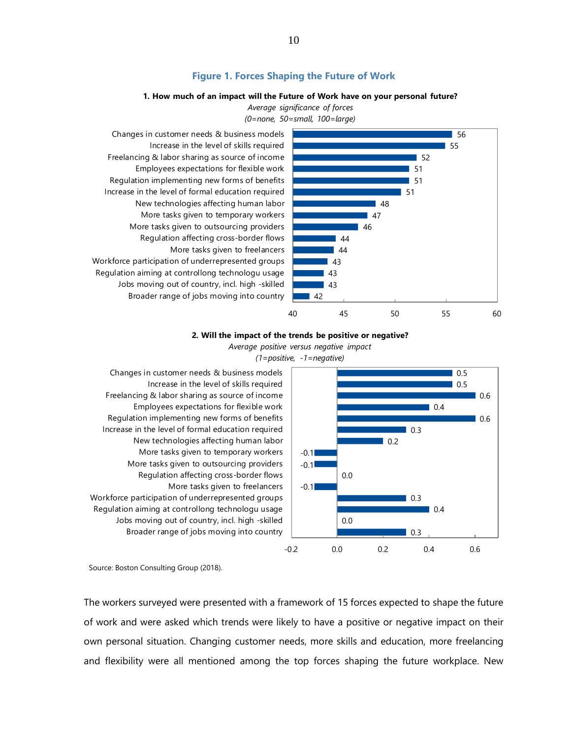#### **Figure 1. Forces Shaping the Future of Work**

#### **1. How much of an impact will the Future of Work have on your personal future?**

*Average significance of forces (0=none, 50=small, 100=large)*

<span id="page-9-0"></span>

#### **2. Will the impact of the trends be positive or negative?** *Average positive versus negative impact*



*(1=positive, -1=negative)*

Broader range of jobs moving into country Jobs moving out of country, incl. high -skilled Regulation aiming at controllong technologu usage Workforce participation of underrepresented groups More tasks given to freelancers Regulation affecting cross-border flows More tasks given to outsourcing providers More tasks given to temporary workers New technologies affecting human labor Increase in the level of formal education required Regulation implementing new forms of benefits Employees expectations for flexible work Freelancing & labor sharing as source of income Increase in the level of skills required Changes in customer needs & business models

Source: Boston Consulting Group (2018).

The workers surveyed were presented with a framework of 15 forces expected to shape the future of work and were asked which trends were likely to have a positive or negative impact on their own personal situation. Changing customer needs, more skills and education, more freelancing and flexibility were all mentioned among the top forces shaping the future workplace. New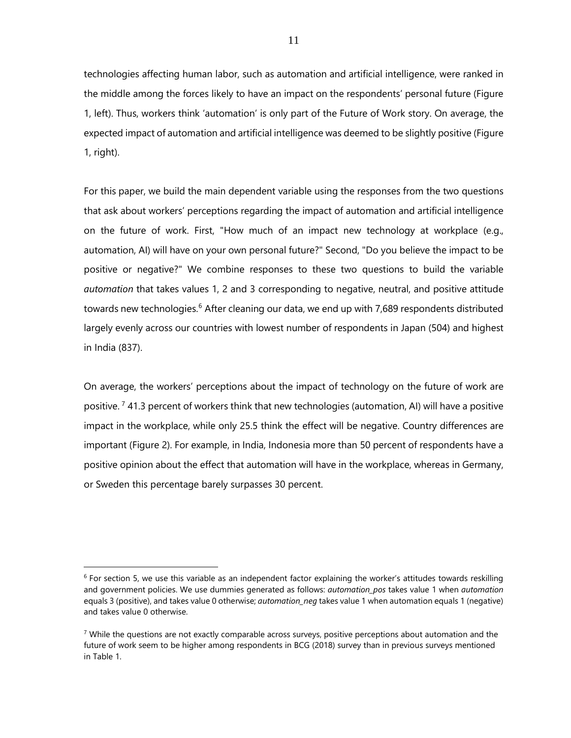technologies affecting human labor, such as automation and artificial intelligence, were ranked in the middle among the forces likely to have an impact on the respondents' personal future (Figure 1, left). Thus, workers think 'automation' is only part of the Future of Work story. On average, the expected impact of automation and artificial intelligence was deemed to be slightly positive (Figure 1, right).

For this paper, we build the main dependent variable using the responses from the two questions that ask about workers' perceptions regarding the impact of automation and artificial intelligence on the future of work. First, "How much of an impact new technology at workplace (e.g., automation, AI) will have on your own personal future?" Second, "Do you believe the impact to be positive or negative?" We combine responses to these two questions to build the variable *automation* that takes values 1, 2 and 3 corresponding to negative, neutral, and positive attitude towards new technologies.<sup>[6](#page-10-0)</sup> After cleaning our data, we end up with 7,689 respondents distributed largely evenly across our countries with lowest number of respondents in Japan (504) and highest in India (837).

On average, the workers' perceptions about the impact of technology on the future of work are positive.  $7$  41.3 percent of workers think that new technologies (automation, AI) will have a positive impact in the workplace, while only 25.5 think the effect will be negative. Country differences are important (Figure 2). For example, in India, Indonesia more than 50 percent of respondents have a positive opinion about the effect that automation will have in the workplace, whereas in Germany, or Sweden this percentage barely surpasses 30 percent.

 $\overline{a}$ 

<span id="page-10-0"></span> $6$  For section 5, we use this variable as an independent factor explaining the worker's attitudes towards reskilling and government policies. We use dummies generated as follows: *automation\_pos* takes value 1 when *automation* equals 3 (positive), and takes value 0 otherwise; *automation neg* takes value 1 when automation equals 1 (negative) and takes value 0 otherwise.

<span id="page-10-1"></span> $7$  While the questions are not exactly comparable across surveys, positive perceptions about automation and the future of work seem to be higher among respondents in BCG (2018) survey than in previous surveys mentioned in Table 1.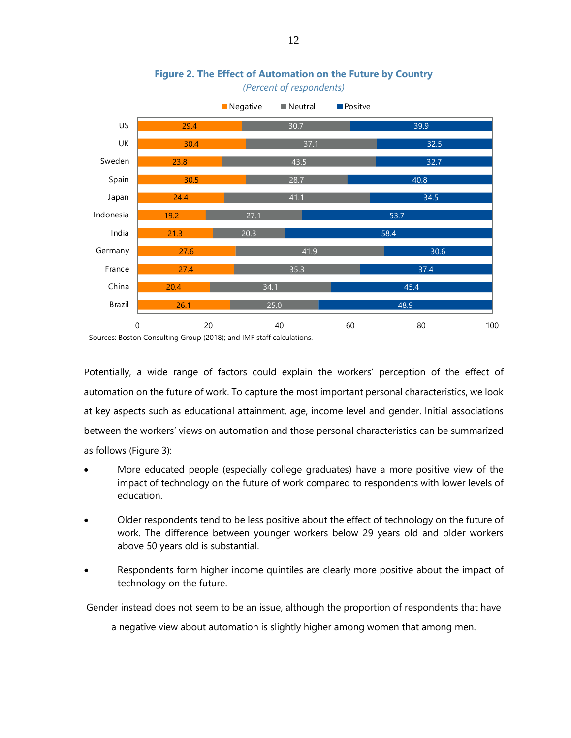<span id="page-11-0"></span>

# **Figure 2. The Effect of Automation on the Future by Country** *(Percent of respondents)*

Sources: Boston Consulting Group (2018); and IMF staff calculations.

Potentially, a wide range of factors could explain the workers' perception of the effect of automation on the future of work. To capture the most important personal characteristics, we look at key aspects such as educational attainment, age, income level and gender. Initial associations between the workers' views on automation and those personal characteristics can be summarized as follows (Figure 3):

- More educated people (especially college graduates) have a more positive view of the impact of technology on the future of work compared to respondents with lower levels of education.
- Older respondents tend to be less positive about the effect of technology on the future of work. The difference between younger workers below 29 years old and older workers above 50 years old is substantial.
- Respondents form higher income quintiles are clearly more positive about the impact of technology on the future.

Gender instead does not seem to be an issue, although the proportion of respondents that have

a negative view about automation is slightly higher among women that among men.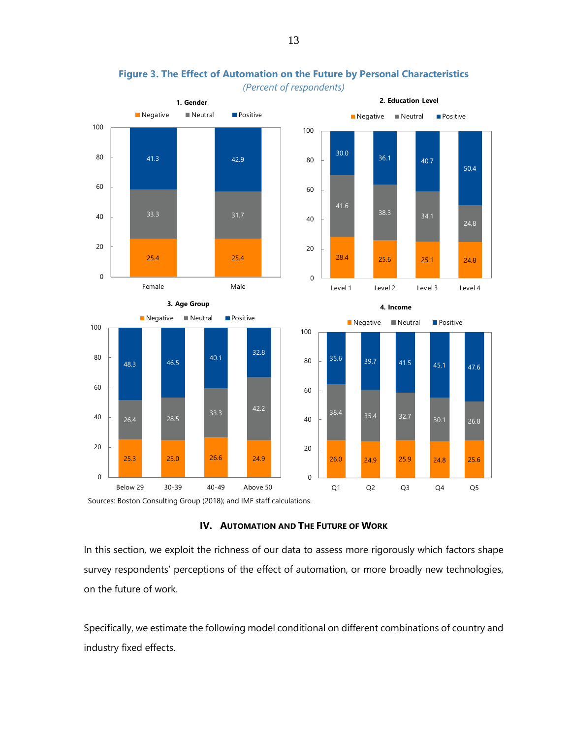<span id="page-12-1"></span>

**Figure 3. The Effect of Automation on the Future by Personal Characteristics** *(Percent of respondents)*

<span id="page-12-0"></span>Sources: Boston Consulting Group (2018); and IMF staff calculations.

#### **IV. AUTOMATION AND THE FUTURE OF WORK**

In this section, we exploit the richness of our data to assess more rigorously which factors shape survey respondents' perceptions of the effect of automation, or more broadly new technologies, on the future of work.

Specifically, we estimate the following model conditional on different combinations of country and industry fixed effects.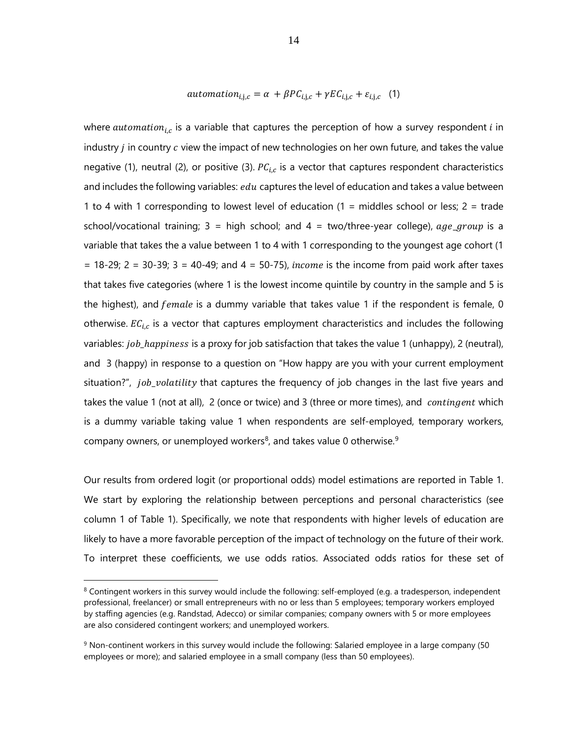$$
automation_{i,j,c} = \alpha + \beta PC_{i,j,c} + \gamma EC_{i,j,c} + \varepsilon_{i,j,c} \quad (1)
$$

where *automation<sub>ic</sub>* is a variable that captures the perception of how a survey respondent i in industry  $j$  in country  $c$  view the impact of new technologies on her own future, and takes the value negative (1), neutral (2), or positive (3).  $PC_{i,c}$  is a vector that captures respondent characteristics and includes the following variables:  $edu$  captures the level of education and takes a value between 1 to 4 with 1 corresponding to lowest level of education  $(1 =$  middles school or less;  $2 =$  trade school/vocational training;  $3 =$  high school; and  $4 =$  two/three-year college),  $age\_group$  is a variable that takes the a value between 1 to 4 with 1 corresponding to the youngest age cohort (1  $= 18-29$ ; 2 = 30-39; 3 = 40-49; and 4 = 50-75), *income* is the income from paid work after taxes that takes five categories (where 1 is the lowest income quintile by country in the sample and 5 is the highest), and  $female$  is a dummy variable that takes value 1 if the respondent is female, 0 otherwise.  $EC_{i,c}$  is a vector that captures employment characteristics and includes the following variables: *job\_happiness* is a proxy for job satisfaction that takes the value 1 (unhappy), 2 (neutral), and 3 (happy) in response to a question on "How happy are you with your current employment situation?", *job\_volatility* that captures the frequency of job changes in the last five years and takes the value 1 (not at all), 2 (once or twice) and 3 (three or more times), and *contingent* which is a dummy variable taking value 1 when respondents are self-employed, temporary workers, company owners, or unemployed workers<sup>[8](#page-13-0)</sup>, and takes value 0 otherwise.<sup>[9](#page-13-1)</sup>

Our results from ordered logit (or proportional odds) model estimations are reported in Table 1. We start by exploring the relationship between perceptions and personal characteristics (see column 1 of Table 1). Specifically, we note that respondents with higher levels of education are likely to have a more favorable perception of the impact of technology on the future of their work. To interpret these coefficients, we use odds ratios. Associated odds ratios for these set of

 $\overline{a}$ 

<span id="page-13-0"></span><sup>&</sup>lt;sup>8</sup> Contingent workers in this survey would include the following: self-employed (e.g. a tradesperson, independent professional, freelancer) or small entrepreneurs with no or less than 5 employees; temporary workers employed by staffing agencies (e.g. Randstad, Adecco) or similar companies; company owners with 5 or more employees are also considered contingent workers; and unemployed workers.

<span id="page-13-1"></span><sup>&</sup>lt;sup>9</sup> Non-continent workers in this survey would include the following: Salaried employee in a large company (50 employees or more); and salaried employee in a small company (less than 50 employees).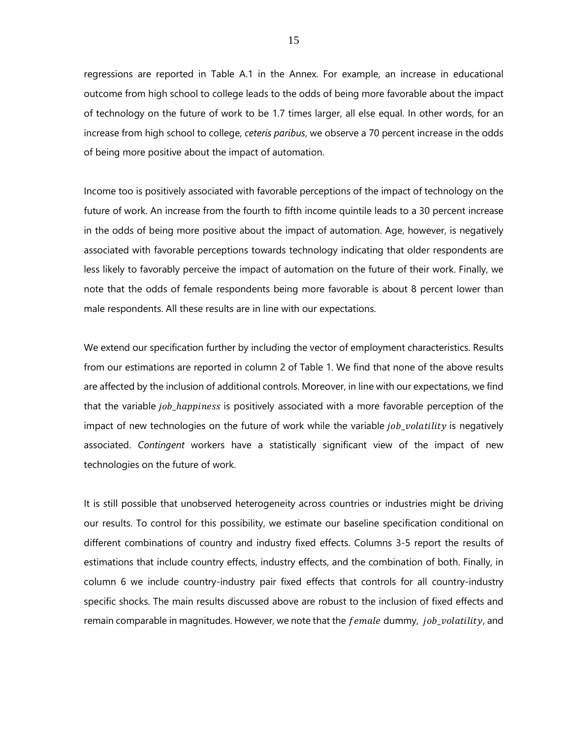regressions are reported in Table A.1 in the Annex. For example, an increase in educational outcome from high school to college leads to the odds of being more favorable about the impact of technology on the future of work to be 1.7 times larger, all else equal. In other words, for an increase from high school to college, *ceteris paribus*, we observe a 70 percent increase in the odds of being more positive about the impact of automation.

Income too is positively associated with favorable perceptions of the impact of technology on the future of work. An increase from the fourth to fifth income quintile leads to a 30 percent increase in the odds of being more positive about the impact of automation. Age, however, is negatively associated with favorable perceptions towards technology indicating that older respondents are less likely to favorably perceive the impact of automation on the future of their work. Finally, we note that the odds of female respondents being more favorable is about 8 percent lower than male respondents. All these results are in line with our expectations.

We extend our specification further by including the vector of employment characteristics. Results from our estimations are reported in column 2 of Table 1. We find that none of the above results are affected by the inclusion of additional controls. Moreover, in line with our expectations, we find that the variable *job happiness* is positively associated with a more favorable perception of the impact of new technologies on the future of work while the variable  $job\_volatility$  is negatively associated. *Contingent* workers have a statistically significant view of the impact of new technologies on the future of work.

It is still possible that unobserved heterogeneity across countries or industries might be driving our results. To control for this possibility, we estimate our baseline specification conditional on different combinations of country and industry fixed effects. Columns 3-5 report the results of estimations that include country effects, industry effects, and the combination of both. Finally, in column 6 we include country-industry pair fixed effects that controls for all country-industry specific shocks. The main results discussed above are robust to the inclusion of fixed effects and remain comparable in magnitudes. However, we note that the  $f$ emale dummy, *job volatility*, and

15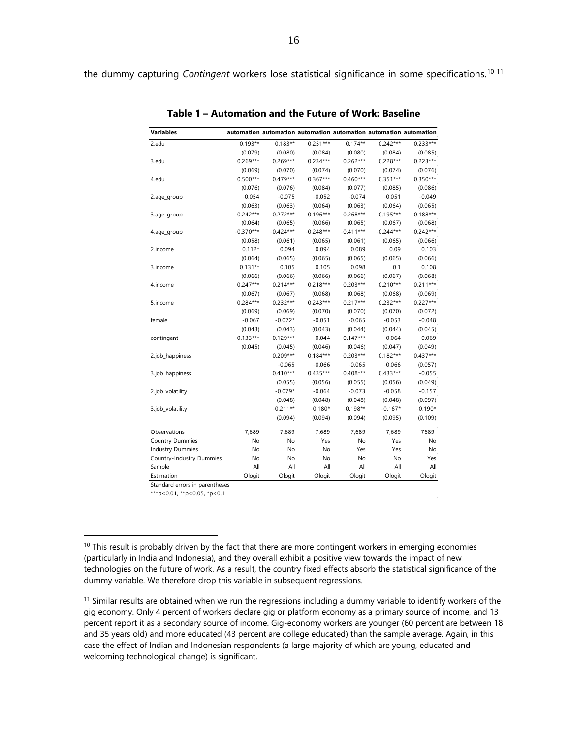<span id="page-15-0"></span>the dummy capturing *Contingent* workers lose statistical significance in some specifications.<sup>[10](#page-15-1) [11](#page-15-2)</sup>

| <b>Variables</b>         |             |             | automation automation automation automation automation automation |             |             |             |
|--------------------------|-------------|-------------|-------------------------------------------------------------------|-------------|-------------|-------------|
| 2.edu                    | $0.193**$   | $0.183**$   | $0.251***$                                                        | $0.174**$   | $0.242***$  | $0.233***$  |
|                          | (0.079)     | (0.080)     | (0.084)                                                           | (0.080)     | (0.084)     | (0.085)     |
| 3.edu                    | $0.269***$  | $0.269***$  | $0.234***$                                                        | $0.262***$  | $0.228***$  | $0.223***$  |
|                          | (0.069)     | (0.070)     | (0.074)                                                           | (0.070)     | (0.074)     | (0.076)     |
| 4.edu                    | $0.500***$  | $0.479***$  | $0.367***$                                                        | $0.460***$  | $0.351***$  | $0.350***$  |
|                          | (0.076)     | (0.076)     | (0.084)                                                           | (0.077)     | (0.085)     | (0.086)     |
| 2.age_group              | $-0.054$    | $-0.075$    | $-0.052$                                                          | $-0.074$    | $-0.051$    | $-0.049$    |
|                          | (0.063)     | (0.063)     | (0.064)                                                           | (0.063)     | (0.064)     | (0.065)     |
| 3.age_group              | $-0.242***$ | $-0.272***$ | $-0.196***$                                                       | $-0.268***$ | $-0.195***$ | $-0.188***$ |
|                          | (0.064)     | (0.065)     | (0.066)                                                           | (0.065)     | (0.067)     | (0.068)     |
| 4.age_group              | $-0.370***$ | $-0.424***$ | $-0.248***$                                                       | $-0.411***$ | $-0.244***$ | $-0.242***$ |
|                          | (0.058)     | (0.061)     | (0.065)                                                           | (0.061)     | (0.065)     | (0.066)     |
| 2.income                 | $0.112*$    | 0.094       | 0.094                                                             | 0.089       | 0.09        | 0.103       |
|                          | (0.064)     | (0.065)     | (0.065)                                                           | (0.065)     | (0.065)     | (0.066)     |
| 3.income                 | $0.131**$   | 0.105       | 0.105                                                             | 0.098       | 0.1         | 0.108       |
|                          | (0.066)     | (0.066)     | (0.066)                                                           | (0.066)     | (0.067)     | (0.068)     |
| 4.income                 | $0.247***$  | $0.214***$  | $0.218***$                                                        | $0.203***$  | $0.210***$  | $0.211***$  |
|                          | (0.067)     | (0.067)     | (0.068)                                                           | (0.068)     | (0.068)     | (0.069)     |
| 5.income                 | $0.284***$  | $0.232***$  | $0.243***$                                                        | $0.217***$  | $0.232***$  | $0.227***$  |
|                          | (0.069)     | (0.069)     | (0.070)                                                           | (0.070)     | (0.070)     | (0.072)     |
| female                   | $-0.067$    | $-0.072*$   | $-0.051$                                                          | $-0.065$    | $-0.053$    | $-0.048$    |
|                          | (0.043)     | (0.043)     | (0.043)                                                           | (0.044)     | (0.044)     | (0.045)     |
| contingent               | $0.133***$  | $0.129***$  | 0.044                                                             | $0.147***$  | 0.064       | 0.069       |
|                          | (0.045)     | (0.045)     | (0.046)                                                           | (0.046)     | (0.047)     | (0.049)     |
| 2.job_happiness          |             | $0.209***$  | $0.184***$                                                        | $0.203***$  | $0.182***$  | $0.437***$  |
|                          |             | $-0.065$    | $-0.066$                                                          | $-0.065$    | $-0.066$    | (0.057)     |
| 3.job_happiness          |             | $0.410***$  | $0.435***$                                                        | $0.408***$  | $0.433***$  | $-0.055$    |
|                          |             | (0.055)     | (0.056)                                                           | (0.055)     | (0.056)     | (0.049)     |
| 2.job_volatility         |             | $-0.079*$   | $-0.064$                                                          | $-0.073$    | $-0.058$    | $-0.157$    |
|                          |             | (0.048)     | (0.048)                                                           | (0.048)     | (0.048)     | (0.097)     |
| 3.job_volatility         |             | $-0.211**$  | $-0.180*$                                                         | $-0.198**$  | $-0.167*$   | $-0.190*$   |
|                          |             | (0.094)     | (0.094)                                                           | (0.094)     | (0.095)     | (0.109)     |
| Observations             | 7,689       | 7,689       | 7,689                                                             | 7,689       | 7,689       | 7689        |
| <b>Country Dummies</b>   | No          | No          | Yes                                                               | No          | Yes         | No          |
| <b>Industry Dummies</b>  | No          | No          | No                                                                | Yes         | Yes         | No          |
| Country-Industry Dummies | No          | No          | No                                                                | No          | No          | Yes         |
| Sample                   | All         | All         | All                                                               | All         | All         | All         |
| Estimation               | Ologit      | Ologit      | Ologit                                                            | Ologit      | Ologit      | Ologit      |

**Table 1 – Automation and the Future of Work: Baseline**

Standard errors in parentheses

\*\*\*p<0.01, \*\*p<0.05, \*p<0.1

 $\overline{a}$ 

<span id="page-15-2"></span> $11$  Similar results are obtained when we run the regressions including a dummy variable to identify workers of the gig economy. Only 4 percent of workers declare gig or platform economy as a primary source of income, and 13 percent report it as a secondary source of income. Gig-economy workers are younger (60 percent are between 18 and 35 years old) and more educated (43 percent are college educated) than the sample average. Again, in this case the effect of Indian and Indonesian respondents (a large majority of which are young, educated and welcoming technological change) is significant.

<span id="page-15-1"></span> $10$  This result is probably driven by the fact that there are more contingent workers in emerging economies (particularly in India and Indonesia), and they overall exhibit a positive view towards the impact of new technologies on the future of work. As a result, the country fixed effects absorb the statistical significance of the dummy variable. We therefore drop this variable in subsequent regressions.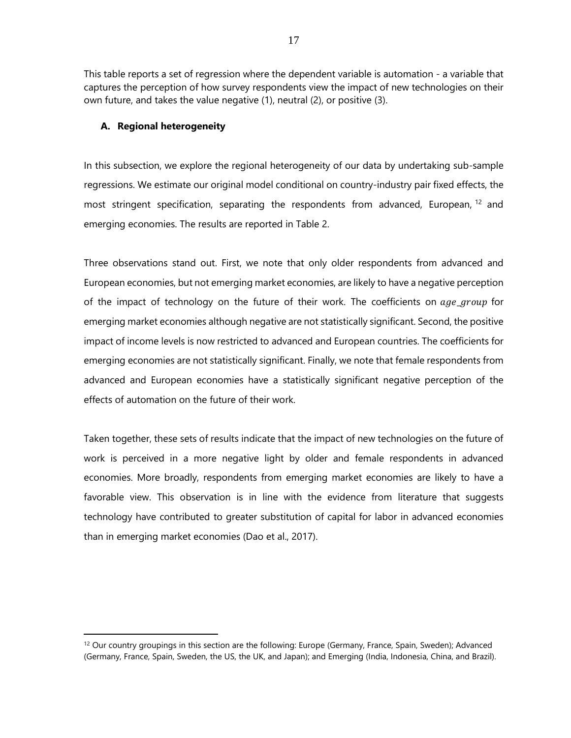This table reports a set of regression where the dependent variable is automation - a variable that captures the perception of how survey respondents view the impact of new technologies on their own future, and takes the value negative (1), neutral (2), or positive (3).

#### <span id="page-16-0"></span>**A. Regional heterogeneity**

 $\overline{a}$ 

In this subsection, we explore the regional heterogeneity of our data by undertaking sub-sample regressions. We estimate our original model conditional on country-industry pair fixed effects, the most stringent specification, separating the respondents from advanced, European, <sup>[12](#page-16-1)</sup> and emerging economies. The results are reported in Table 2.

Three observations stand out. First, we note that only older respondents from advanced and European economies, but not emerging market economies, are likely to have a negative perception of the impact of technology on the future of their work. The coefficients on  $age\_group$  for emerging market economies although negative are not statistically significant. Second, the positive impact of income levels is now restricted to advanced and European countries. The coefficients for emerging economies are not statistically significant. Finally, we note that female respondents from advanced and European economies have a statistically significant negative perception of the effects of automation on the future of their work.

Taken together, these sets of results indicate that the impact of new technologies on the future of work is perceived in a more negative light by older and female respondents in advanced economies. More broadly, respondents from emerging market economies are likely to have a favorable view. This observation is in line with the evidence from literature that suggests technology have contributed to greater substitution of capital for labor in advanced economies than in emerging market economies (Dao et al., 2017).

<span id="page-16-1"></span><sup>&</sup>lt;sup>12</sup> Our country groupings in this section are the following: Europe (Germany, France, Spain, Sweden); Advanced (Germany, France, Spain, Sweden, the US, the UK, and Japan); and Emerging (India, Indonesia, China, and Brazil).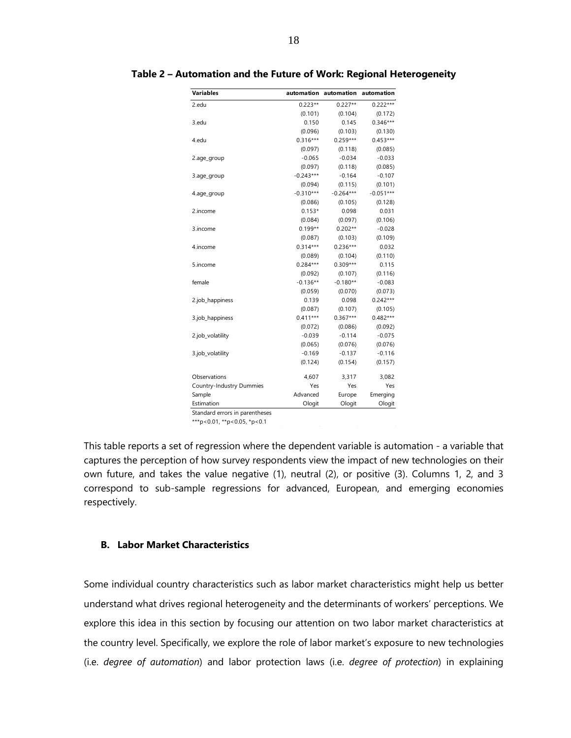| <b>Variables</b>         | automation  | automation  | automation  |
|--------------------------|-------------|-------------|-------------|
| 2.edu                    | $0.223**$   | $0.227**$   | $0.222***$  |
|                          | (0.101)     | (0.104)     | (0.172)     |
| 3.edu                    | 0.150       | 0.145       | $0.346***$  |
|                          | (0.096)     | (0.103)     | (0.130)     |
| 4.edu                    | $0.316***$  | $0.259***$  | $0.453***$  |
|                          | (0.097)     | (0.118)     | (0.085)     |
| 2.age_group              | $-0.065$    | $-0.034$    | $-0.033$    |
|                          | (0.097)     | (0.118)     | (0.085)     |
| 3.age_group              | $-0.243***$ | $-0.164$    | $-0.107$    |
|                          | (0.094)     | (0.115)     | (0.101)     |
| 4.age_group              | $-0.310***$ | $-0.264***$ | $-0.051***$ |
|                          | (0.086)     | (0.105)     | (0.128)     |
| 2.income                 | $0.153*$    | 0.098       | 0.031       |
|                          | (0.084)     | (0.097)     | (0.106)     |
| 3.income                 | $0.199**$   | $0.202**$   | $-0.028$    |
|                          | (0.087)     | (0.103)     | (0.109)     |
| 4.income                 | $0.314***$  | $0.236***$  | 0.032       |
|                          | (0.089)     | (0.104)     | (0.110)     |
| 5.income                 | $0.284***$  | $0.309***$  | 0.115       |
|                          | (0.092)     | (0.107)     | (0.116)     |
| female                   | $-0.136**$  | $-0.180**$  | $-0.083$    |
|                          | (0.059)     | (0.070)     | (0.073)     |
| 2.job_happiness          | 0.139       | 0.098       | $0.242***$  |
|                          | (0.087)     | (0.107)     | (0.105)     |
| 3.job_happiness          | $0.411***$  | $0.367***$  | $0.482***$  |
|                          | (0.072)     | (0.086)     | (0.092)     |
| 2.job_volatility         | $-0.039$    | $-0.114$    | $-0.075$    |
|                          | (0.065)     | (0.076)     | (0.076)     |
| 3.job_volatility         | $-0.169$    | $-0.137$    | $-0.116$    |
|                          | (0.124)     | (0.154)     | (0.157)     |
| Observations             | 4,607       | 3,317       | 3,082       |
| Country-Industry Dummies | Yes         | Yes         | Yes         |
| Sample                   | Advanced    | Europe      | Emerging    |
| Estimation               | Ologit      | Ologit      | Ologit      |

<span id="page-17-1"></span>**Table 2 – Automation and the Future of Work: Regional Heterogeneity**

\*\*\*p<0.01, \*\*p<0.05, \*p<0.1

This table reports a set of regression where the dependent variable is automation - a variable that captures the perception of how survey respondents view the impact of new technologies on their own future, and takes the value negative (1), neutral (2), or positive (3). Columns 1, 2, and 3 correspond to sub-sample regressions for advanced, European, and emerging economies respectively.

# <span id="page-17-0"></span>**B. Labor Market Characteristics**

Some individual country characteristics such as labor market characteristics might help us better understand what drives regional heterogeneity and the determinants of workers' perceptions. We explore this idea in this section by focusing our attention on two labor market characteristics at the country level. Specifically, we explore the role of labor market's exposure to new technologies (i.e. *degree of automation*) and labor protection laws (i.e. *degree of protection*) in explaining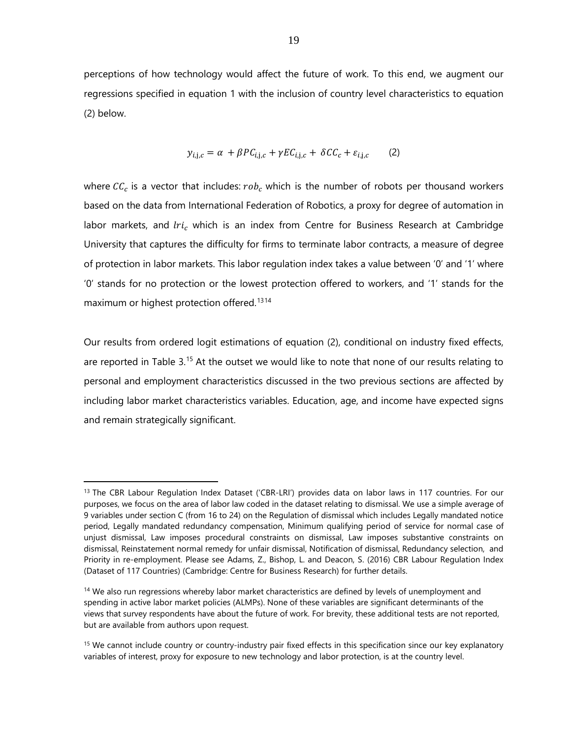perceptions of how technology would affect the future of work. To this end, we augment our regressions specified in equation 1 with the inclusion of country level characteristics to equation (2) below.

$$
y_{i,j,c} = \alpha + \beta P C_{i,j,c} + \gamma E C_{i,j,c} + \delta C C_c + \varepsilon_{i,j,c}
$$
 (2)

where  $\mathcal{C}\mathcal{C}_c$  is a vector that includes:  $rob_c$  which is the number of robots per thousand workers based on the data from International Federation of Robotics, a proxy for degree of automation in labor markets, and  $tri_c$  which is an index from Centre for Business Research at Cambridge University that captures the difficulty for firms to terminate labor contracts, a measure of degree of protection in labor markets. This labor regulation index takes a value between '0' and '1' where '0' stands for no protection or the lowest protection offered to workers, and '1' stands for the maximum or highest protection offered.<sup>[13](#page-18-0)[14](#page-18-1)</sup>

Our results from ordered logit estimations of equation (2), conditional on industry fixed effects, are reported in Table 3.<sup>[15](#page-18-2)</sup> At the outset we would like to note that none of our results relating to personal and employment characteristics discussed in the two previous sections are affected by including labor market characteristics variables. Education, age, and income have expected signs and remain strategically significant.

 $\overline{a}$ 

<span id="page-18-0"></span><sup>&</sup>lt;sup>13</sup> The CBR Labour Regulation Index Dataset ('CBR-LRI') provides data on labor laws in 117 countries. For our purposes, we focus on the area of labor law coded in the dataset relating to dismissal. We use a simple average of 9 variables under section C (from 16 to 24) on the Regulation of dismissal which includes Legally mandated notice period, Legally mandated redundancy compensation, Minimum qualifying period of service for normal case of unjust dismissal, Law imposes procedural constraints on dismissal, Law imposes substantive constraints on dismissal, Reinstatement normal remedy for unfair dismissal, Notification of dismissal, Redundancy selection, and Priority in re-employment. Please see Adams, Z., Bishop, L. and Deacon, S. (2016) CBR Labour Regulation Index (Dataset of 117 Countries) (Cambridge: Centre for Business Research) for further details.

<span id="page-18-1"></span><sup>&</sup>lt;sup>14</sup> We also run regressions whereby labor market characteristics are defined by levels of unemployment and spending in active labor market policies (ALMPs). None of these variables are significant determinants of the views that survey respondents have about the future of work. For brevity, these additional tests are not reported, but are available from authors upon request.

<span id="page-18-2"></span><sup>&</sup>lt;sup>15</sup> We cannot include country or country-industry pair fixed effects in this specification since our key explanatory variables of interest, proxy for exposure to new technology and labor protection, is at the country level.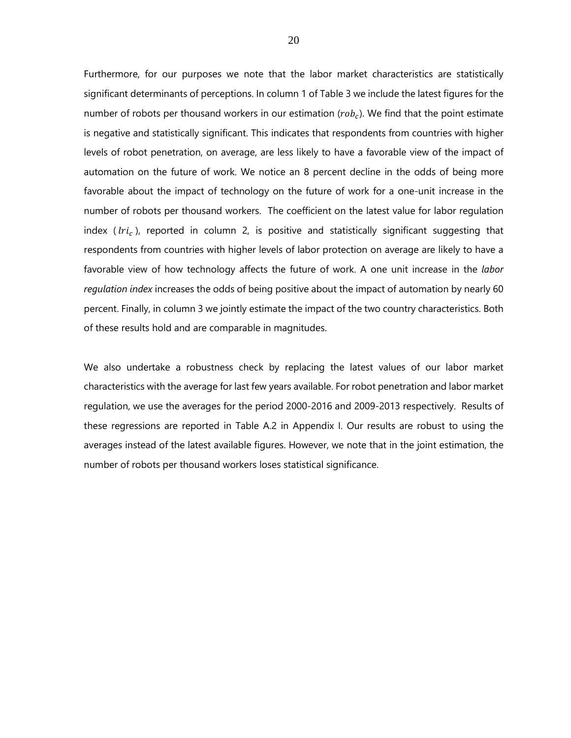Furthermore, for our purposes we note that the labor market characteristics are statistically significant determinants of perceptions. In column 1 of Table 3 we include the latest figures for the number of robots per thousand workers in our estimation ( $rob<sub>c</sub>$ ). We find that the point estimate is negative and statistically significant. This indicates that respondents from countries with higher levels of robot penetration, on average, are less likely to have a favorable view of the impact of automation on the future of work. We notice an 8 percent decline in the odds of being more favorable about the impact of technology on the future of work for a one-unit increase in the number of robots per thousand workers. The coefficient on the latest value for labor regulation index ( $\text{tr}i_c$ ), reported in column 2, is positive and statistically significant suggesting that respondents from countries with higher levels of labor protection on average are likely to have a favorable view of how technology affects the future of work. A one unit increase in the *labor regulation index* increases the odds of being positive about the impact of automation by nearly 60 percent. Finally, in column 3 we jointly estimate the impact of the two country characteristics. Both of these results hold and are comparable in magnitudes.

We also undertake a robustness check by replacing the latest values of our labor market characteristics with the average for last few years available. For robot penetration and labor market regulation, we use the averages for the period 2000-2016 and 2009-2013 respectively. Results of these regressions are reported in Table A.2 in Appendix I. Our results are robust to using the averages instead of the latest available figures. However, we note that in the joint estimation, the number of robots per thousand workers loses statistical significance.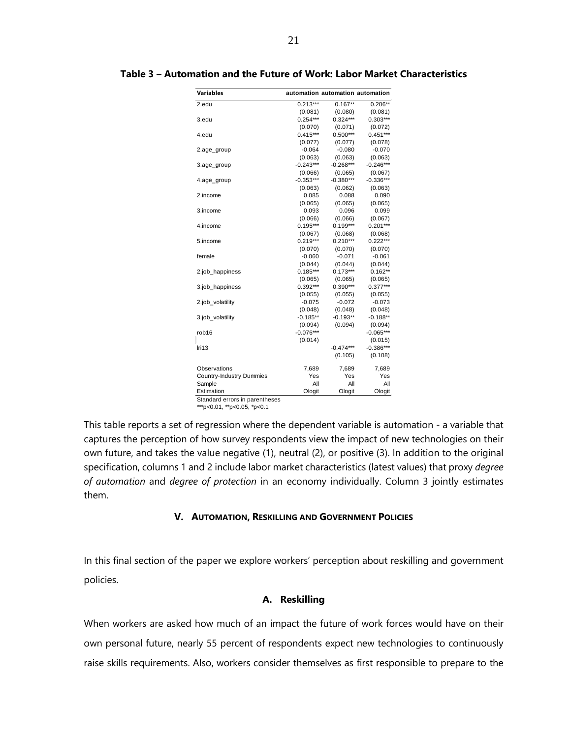| automation automation automation |             |
|----------------------------------|-------------|
| $0.213***$<br>$0.167**$          | $0.206**$   |
| (0.081)<br>(0.080)               | (0.081)     |
| $0.324***$<br>$0.254***$         | $0.303***$  |
| (0.070)<br>(0.071)               | (0.072)     |
| $0.415***$<br>$0.500***$         | $0.451***$  |
| (0.077)<br>(0.077)               | (0.078)     |
| $-0.064$<br>$-0.080$             | $-0.070$    |
| (0.063)<br>(0.063)               | (0.063)     |
| $-0.243***$<br>$-0.268***$       | $-0.246***$ |
| (0.066)<br>(0.065)               | (0.067)     |
| $-0.353***$<br>$-0.380***$       | $-0.336***$ |
| (0.063)<br>(0.062)               | (0.063)     |
| 0.085<br>0.088                   | 0.090       |
| (0.065)<br>(0.065)               | (0.065)     |
| 0.093<br>0.096                   | 0.099       |
| (0.066)<br>(0.066)               | (0.067)     |
| $0.195***$<br>$0.199***$         | $0.201***$  |
| (0.067)<br>(0.068)               | (0.068)     |
| $0.219***$<br>$0.210***$         | $0.222***$  |
| (0.070)<br>(0.070)               | (0.070)     |
| $-0.060$<br>$-0.071$             | $-0.061$    |
| (0.044)<br>(0.044)               | (0.044)     |
| $0.185***$<br>$0.173***$         | $0.162**$   |
| (0.065)<br>(0.065)               | (0.065)     |
| $0.392***$<br>$0.390***$         | $0.377***$  |
| (0.055)<br>(0.055)               | (0.055)     |
| $-0.075$<br>$-0.072$             | $-0.073$    |
| (0.048)<br>(0.048)               | (0.048)     |
| $-0.185**$<br>$-0.193**$         | $-0.188**$  |
| (0.094)<br>(0.094)               | (0.094)     |
| $-0.076***$                      | $-0.065***$ |
| (0.014)                          | (0.015)     |
| $-0.474***$                      | $-0.386***$ |
| (0.105)                          | (0.108)     |
| 7,689<br>7,689                   | 7,689       |
| Yes<br>Yes                       | Yes         |
| All<br>All                       | All         |
|                                  | Ologit      |
| Ologit                           | Ologit      |

#### <span id="page-20-2"></span>**Table 3 – Automation and the Future of Work: Labor Market Characteristics**

Standard errors in parentheses

\*\*\*p<0.01, \*\*p<0.05, \*p<0.1

This table reports a set of regression where the dependent variable is automation - a variable that captures the perception of how survey respondents view the impact of new technologies on their own future, and takes the value negative (1), neutral (2), or positive (3). In addition to the original specification, columns 1 and 2 include labor market characteristics (latest values) that proxy *degree of automation* and *degree of protection* in an economy individually. Column 3 jointly estimates them.

#### **V. AUTOMATION, RESKILLING AND GOVERNMENT POLICIES**

<span id="page-20-0"></span>In this final section of the paper we explore workers' perception about reskilling and government policies.

#### **A. Reskilling**

<span id="page-20-1"></span>When workers are asked how much of an impact the future of work forces would have on their own personal future, nearly 55 percent of respondents expect new technologies to continuously raise skills requirements. Also, workers consider themselves as first responsible to prepare to the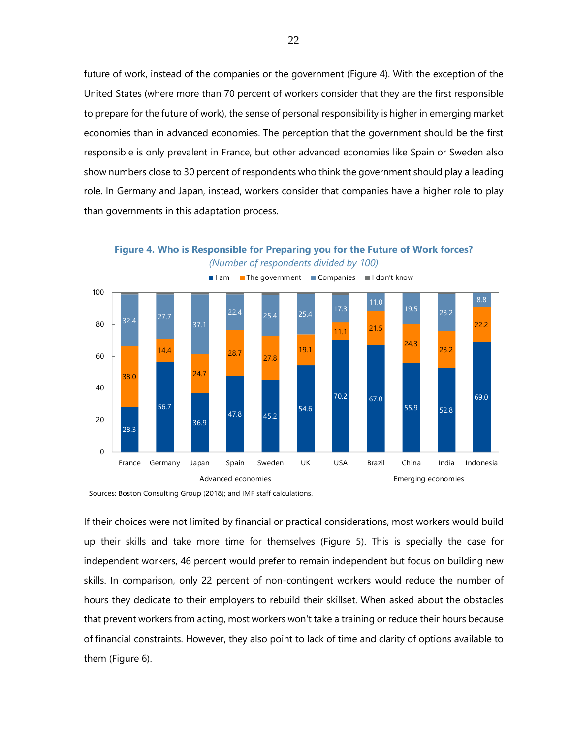future of work, instead of the companies or the government (Figure 4). With the exception of the United States (where more than 70 percent of workers consider that they are the first responsible to prepare for the future of work), the sense of personal responsibility is higher in emerging market economies than in advanced economies. The perception that the government should be the first responsible is only prevalent in France, but other advanced economies like Spain or Sweden also show numbers close to 30 percent of respondents who think the government should play a leading role. In Germany and Japan, instead, workers consider that companies have a higher role to play than governments in this adaptation process.

<span id="page-21-0"></span>**Figure 4. Who is Responsible for Preparing you for the Future of Work forces?** *(Number of respondents divided by 100)*

I am I The government I Companies I don't know



Sources: Boston Consulting Group (2018); and IMF staff calculations.

If their choices were not limited by financial or practical considerations, most workers would build up their skills and take more time for themselves (Figure 5). This is specially the case for independent workers, 46 percent would prefer to remain independent but focus on building new skills. In comparison, only 22 percent of non-contingent workers would reduce the number of hours they dedicate to their employers to rebuild their skillset. When asked about the obstacles that prevent workers from acting, most workers won't take a training or reduce their hours because of financial constraints. However, they also point to lack of time and clarity of options available to them (Figure 6).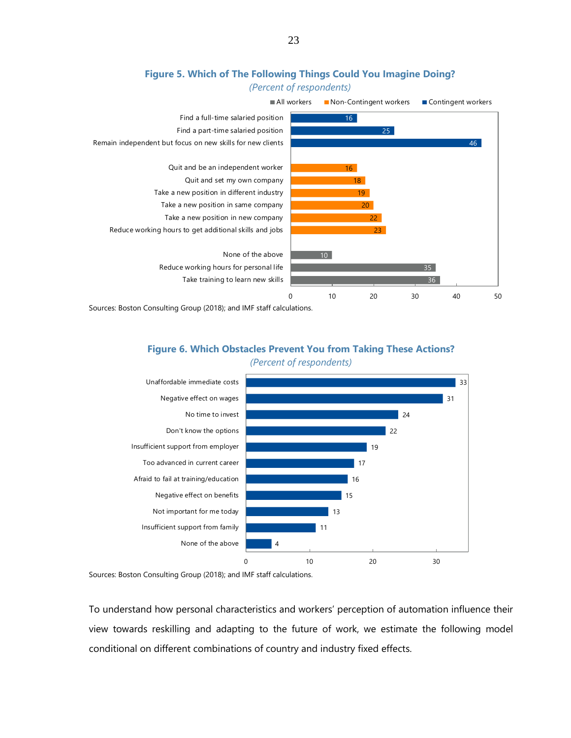<span id="page-22-0"></span>

#### **Figure 5. Which of The Following Things Could You Imagine Doing?** *(Percent of respondents)*

<span id="page-22-1"></span>Sources: Boston Consulting Group (2018); and IMF staff calculations.

# **Figure 6. Which Obstacles Prevent You from Taking These Actions?** *(Percent of respondents)*



Sources: Boston Consulting Group (2018); and IMF staff calculations.

To understand how personal characteristics and workers' perception of automation influence their view towards reskilling and adapting to the future of work, we estimate the following model conditional on different combinations of country and industry fixed effects.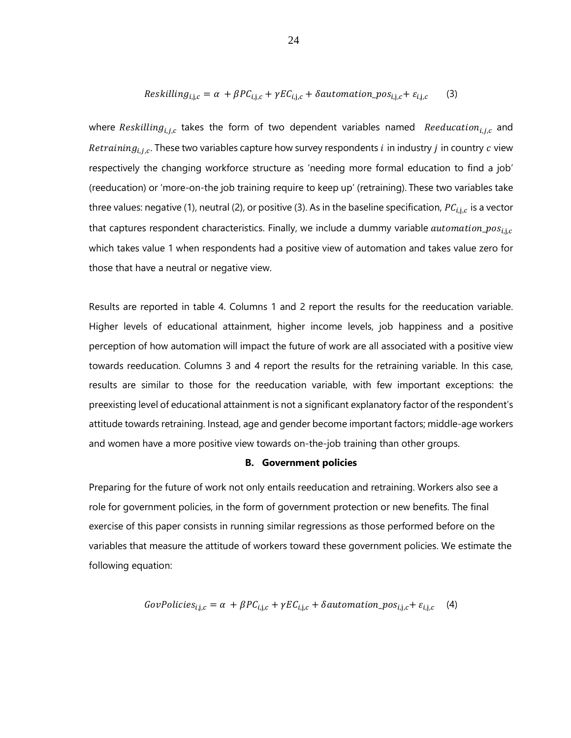$$
Reskilling_{i,j,c} = \alpha + \beta PC_{i,j,c} + \gamma EC_{i,j,c} + \delta automation\_pos_{i,j,c} + \varepsilon_{i,j,c}
$$
 (3)

where Reskilling<sub>i,j,c</sub> takes the form of two dependent variables named Reeducation<sub>i,j,c</sub> and Retraining<sub>i.i.c</sub>. These two variables capture how survey respondents *i* in industry *j* in country *c* view respectively the changing workforce structure as 'needing more formal education to find a job' (reeducation) or 'more-on-the job training require to keep up' (retraining). These two variables take three values: negative (1), neutral (2), or positive (3). As in the baseline specification,  $PC_{i,j,c}$  is a vector that captures respondent characteristics. Finally, we include a dummy variable  $automation\_pos_{i.i.c}$ which takes value 1 when respondents had a positive view of automation and takes value zero for those that have a neutral or negative view.

Results are reported in table 4. Columns 1 and 2 report the results for the reeducation variable. Higher levels of educational attainment, higher income levels, job happiness and a positive perception of how automation will impact the future of work are all associated with a positive view towards reeducation. Columns 3 and 4 report the results for the retraining variable. In this case, results are similar to those for the reeducation variable, with few important exceptions: the preexisting level of educational attainment is not a significant explanatory factor of the respondent's attitude towards retraining. Instead, age and gender become important factors; middle-age workers and women have a more positive view towards on-the-job training than other groups.

#### **B. Government policies**

<span id="page-23-0"></span>Preparing for the future of work not only entails reeducation and retraining. Workers also see a role for government policies, in the form of government protection or new benefits. The final exercise of this paper consists in running similar regressions as those performed before on the variables that measure the attitude of workers toward these government policies. We estimate the following equation:

$$
GovPolicies_{i,j,c} = \alpha + \beta PC_{i,j,c} + \gamma EC_{i,j,c} + \delta automation\_pos_{i,j,c} + \varepsilon_{i,j,c} \quad (4)
$$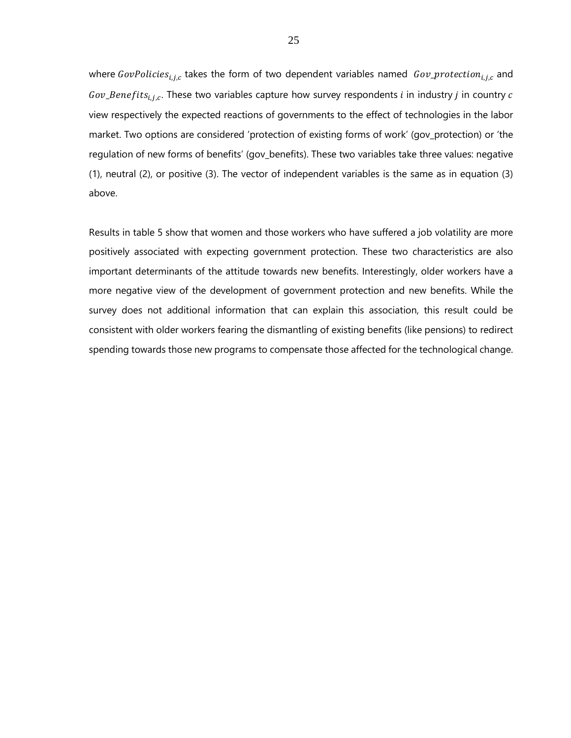where GovPolicies $_{i,j,c}$  takes the form of two dependent variables named Gov\_protection $_{i,j,c}$  and  $Gov\_Benefits_{i,i,c}$ . These two variables capture how survey respondents i in industry j in country c view respectively the expected reactions of governments to the effect of technologies in the labor market. Two options are considered 'protection of existing forms of work' (gov\_protection) or 'the regulation of new forms of benefits' (gov\_benefits). These two variables take three values: negative (1), neutral (2), or positive (3). The vector of independent variables is the same as in equation (3) above.

Results in table 5 show that women and those workers who have suffered a job volatility are more positively associated with expecting government protection. These two characteristics are also important determinants of the attitude towards new benefits. Interestingly, older workers have a more negative view of the development of government protection and new benefits. While the survey does not additional information that can explain this association, this result could be consistent with older workers fearing the dismantling of existing benefits (like pensions) to redirect spending towards those new programs to compensate those affected for the technological change.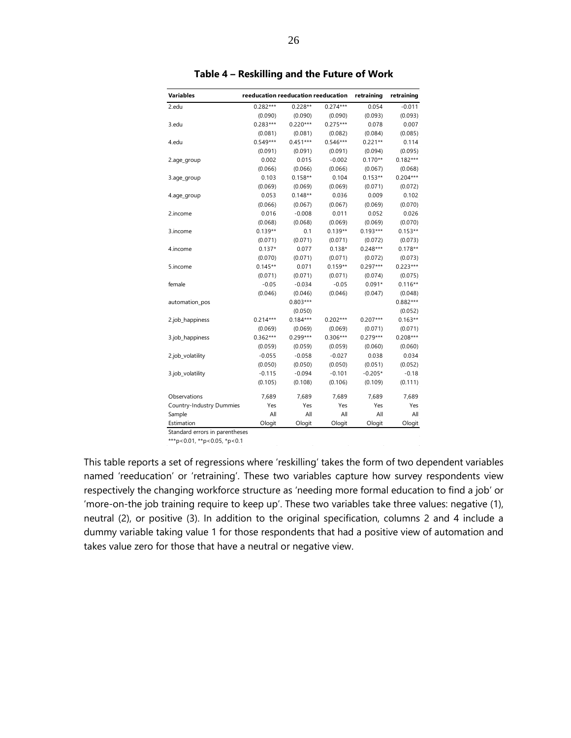<span id="page-25-0"></span>

| Variables                | reeducation reeducation reeducation |            |            | retraining | retraining |
|--------------------------|-------------------------------------|------------|------------|------------|------------|
| 2.edu                    | $0.282***$                          | $0.228**$  | $0.274***$ | 0.054      | $-0.011$   |
|                          | (0.090)                             | (0.090)    | (0.090)    | (0.093)    | (0.093)    |
| 3.edu                    | $0.283***$                          | $0.220***$ | $0.275***$ | 0.078      | 0.007      |
|                          | (0.081)                             | (0.081)    | (0.082)    | (0.084)    | (0.085)    |
| 4.edu                    | $0.549***$                          | $0.451***$ | $0.546***$ | $0.221**$  | 0.114      |
|                          | (0.091)                             | (0.091)    | (0.091)    | (0.094)    | (0.095)    |
| 2.age_group              | 0.002                               | 0.015      | $-0.002$   | $0.170**$  | $0.182***$ |
|                          | (0.066)                             | (0.066)    | (0.066)    | (0.067)    | (0.068)    |
| 3.age_group              | 0.103                               | $0.158**$  | 0.104      | $0.153**$  | $0.204***$ |
|                          | (0.069)                             | (0.069)    | (0.069)    | (0.071)    | (0.072)    |
| 4.age_group              | 0.053                               | $0.148**$  | 0.036      | 0.009      | 0.102      |
|                          | (0.066)                             | (0.067)    | (0.067)    | (0.069)    | (0.070)    |
| 2.income                 | 0.016                               | $-0.008$   | 0.011      | 0.052      | 0.026      |
|                          | (0.068)                             | (0.068)    | (0.069)    | (0.069)    | (0.070)    |
| 3.income                 | $0.139**$                           | 0.1        | $0.139**$  | $0.193***$ | $0.153**$  |
|                          | (0.071)                             | (0.071)    | (0.071)    | (0.072)    | (0.073)    |
| 4.income                 | $0.137*$                            | 0.077      | $0.138*$   | $0.248***$ | $0.178**$  |
|                          | (0.070)                             | (0.071)    | (0.071)    | (0.072)    | (0.073)    |
| 5.income                 | $0.145**$                           | 0.071      | $0.159**$  | $0.297***$ | $0.223***$ |
|                          | (0.071)                             | (0.071)    | (0.071)    | (0.074)    | (0.075)    |
| female                   | $-0.05$                             | $-0.034$   | $-0.05$    | $0.091*$   | $0.116**$  |
|                          | (0.046)                             | (0.046)    | (0.046)    | (0.047)    | (0.048)    |
| automation_pos           |                                     | $0.803***$ |            |            | $0.882***$ |
|                          |                                     | (0.050)    |            |            | (0.052)    |
| 2.job_happiness          | $0.214***$                          | $0.184***$ | $0.202***$ | $0.207***$ | $0.163**$  |
|                          | (0.069)                             | (0.069)    | (0.069)    | (0.071)    | (0.071)    |
| 3.job_happiness          | $0.362***$                          | $0.299***$ | $0.306***$ | $0.279***$ | $0.208***$ |
|                          | (0.059)                             | (0.059)    | (0.059)    | (0.060)    | (0.060)    |
| 2.job_volatility         | $-0.055$                            | $-0.058$   | $-0.027$   | 0.038      | 0.034      |
|                          | (0.050)                             | (0.050)    | (0.050)    | (0.051)    | (0.052)    |
| 3.job_volatility         | $-0.115$                            | $-0.094$   | $-0.101$   | $-0.205*$  | $-0.18$    |
|                          | (0.105)                             | (0.108)    | (0.106)    | (0.109)    | (0.111)    |
| Observations             | 7,689                               | 7,689      | 7,689      | 7,689      | 7,689      |
| Country-Industry Dummies | Yes                                 | Yes        | Yes        | Yes        | Yes        |
| Sample                   | All                                 | All        | All        | All        | All        |
| Estimation               | Ologit                              | Ologit     | Ologit     | Ologit     | Ologit     |

**Table 4 – Reskilling and the Future of Work**

\*\*\*p<0.01, \*\*p<0.05, \*p<0.1

This table reports a set of regressions where 'reskilling' takes the form of two dependent variables named 'reeducation' or 'retraining'. These two variables capture how survey respondents view respectively the changing workforce structure as 'needing more formal education to find a job' or 'more-on-the job training require to keep up'. These two variables take three values: negative (1), neutral (2), or positive (3). In addition to the original specification, columns 2 and 4 include a dummy variable taking value 1 for those respondents that had a positive view of automation and takes value zero for those that have a neutral or negative view.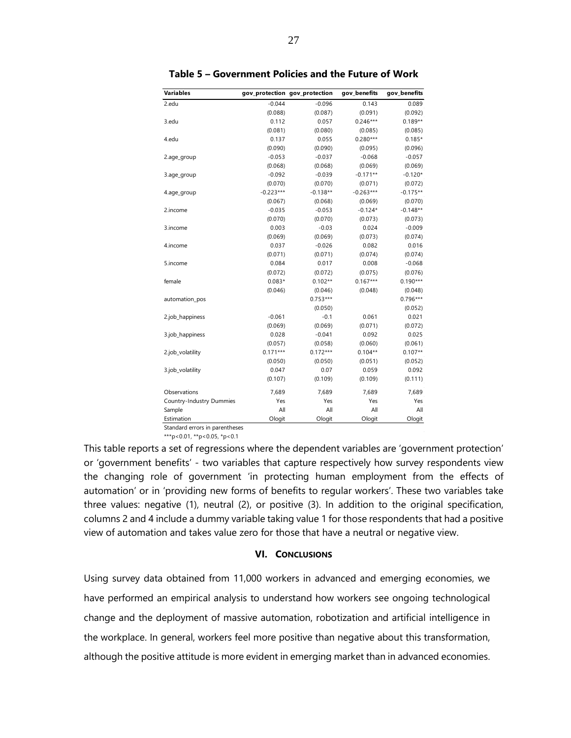<span id="page-26-1"></span>

| <b>Variables</b>         |             | gov_protection_gov_protection | gov benefits | gov_benefits |
|--------------------------|-------------|-------------------------------|--------------|--------------|
| 2.edu                    | $-0.044$    | $-0.096$                      | 0.143        | 0.089        |
|                          | (0.088)     | (0.087)                       | (0.091)      | (0.092)      |
| 3.edu                    | 0.112       | 0.057                         | $0.246***$   | $0.189**$    |
|                          | (0.081)     | (0.080)                       | (0.085)      | (0.085)      |
| 4.edu                    | 0.137       | 0.055                         | $0.280***$   | $0.185*$     |
|                          | (0.090)     | (0.090)                       | (0.095)      | (0.096)      |
| 2.age_group              | $-0.053$    | $-0.037$                      | $-0.068$     | $-0.057$     |
|                          | (0.068)     | (0.068)                       | (0.069)      | (0.069)      |
| 3.age_group              | $-0.092$    | $-0.039$                      | $-0.171**$   | $-0.120*$    |
|                          | (0.070)     | (0.070)                       | (0.071)      | (0.072)      |
| 4.age_group              | $-0.223***$ | $-0.138**$                    | $-0.263***$  | $-0.175**$   |
|                          | (0.067)     | (0.068)                       | (0.069)      | (0.070)      |
| 2.income                 | $-0.035$    | $-0.053$                      | $-0.124*$    | $-0.148**$   |
|                          | (0.070)     | (0.070)                       | (0.073)      | (0.073)      |
| 3.income                 | 0.003       | $-0.03$                       | 0.024        | $-0.009$     |
|                          | (0.069)     | (0.069)                       | (0.073)      | (0.074)      |
| 4.income                 | 0.037       | $-0.026$                      | 0.082        | 0.016        |
|                          | (0.071)     | (0.071)                       | (0.074)      | (0.074)      |
| 5.income                 | 0.084       | 0.017                         | 0.008        | $-0.068$     |
|                          | (0.072)     | (0.072)                       | (0.075)      | (0.076)      |
| female                   | $0.083*$    | $0.102**$                     | $0.167***$   | $0.190***$   |
|                          | (0.046)     | (0.046)                       | (0.048)      | (0.048)      |
| automation_pos           |             | $0.753***$                    |              | $0.796***$   |
|                          |             | (0.050)                       |              | (0.052)      |
| 2.job_happiness          | $-0.061$    | $-0.1$                        | 0.061        | 0.021        |
|                          | (0.069)     | (0.069)                       | (0.071)      | (0.072)      |
| 3.job_happiness          | 0.028       | $-0.041$                      | 0.092        | 0.025        |
|                          | (0.057)     | (0.058)                       | (0.060)      | (0.061)      |
| 2.job_volatility         | $0.171***$  | $0.172***$                    | $0.104**$    | $0.107**$    |
|                          | (0.050)     | (0.050)                       | (0.051)      | (0.052)      |
| 3.job_volatility         | 0.047       | 0.07                          | 0.059        | 0.092        |
|                          | (0.107)     | (0.109)                       | (0.109)      | (0.111)      |
| Observations             | 7,689       | 7,689                         | 7,689        | 7,689        |
| Country-Industry Dummies | Yes         | Yes                           | Yes          | Yes          |
| Sample                   | All         | All                           | All          | All          |
| Estimation               | Ologit      | Ologit                        | Ologit       | Ologit       |

**Table 5 – Government Policies and the Future of Work**

\*\*\*p<0.01, \*\*p<0.05, \*p<0.1

This table reports a set of regressions where the dependent variables are 'government protection' or 'government benefits' - two variables that capture respectively how survey respondents view the changing role of government 'in protecting human employment from the effects of automation' or in 'providing new forms of benefits to regular workers'. These two variables take three values: negative (1), neutral (2), or positive (3). In addition to the original specification, columns 2 and 4 include a dummy variable taking value 1 for those respondents that had a positive view of automation and takes value zero for those that have a neutral or negative view.

#### **VI. CONCLUSIONS**

<span id="page-26-0"></span>Using survey data obtained from 11,000 workers in advanced and emerging economies, we have performed an empirical analysis to understand how workers see ongoing technological change and the deployment of massive automation, robotization and artificial intelligence in the workplace. In general, workers feel more positive than negative about this transformation, although the positive attitude is more evident in emerging market than in advanced economies.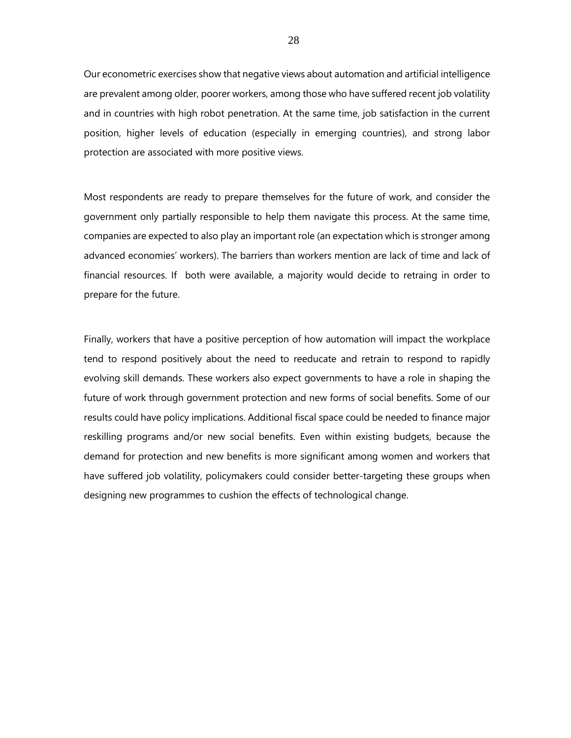Our econometric exercises show that negative views about automation and artificial intelligence are prevalent among older, poorer workers, among those who have suffered recent job volatility and in countries with high robot penetration. At the same time, job satisfaction in the current position, higher levels of education (especially in emerging countries), and strong labor protection are associated with more positive views.

Most respondents are ready to prepare themselves for the future of work, and consider the government only partially responsible to help them navigate this process. At the same time, companies are expected to also play an important role (an expectation which is stronger among advanced economies' workers). The barriers than workers mention are lack of time and lack of financial resources. If both were available, a majority would decide to retraing in order to prepare for the future.

Finally, workers that have a positive perception of how automation will impact the workplace tend to respond positively about the need to reeducate and retrain to respond to rapidly evolving skill demands. These workers also expect governments to have a role in shaping the future of work through government protection and new forms of social benefits. Some of our results could have policy implications. Additional fiscal space could be needed to finance major reskilling programs and/or new social benefits. Even within existing budgets, because the demand for protection and new benefits is more significant among women and workers that have suffered job volatility, policymakers could consider better-targeting these groups when designing new programmes to cushion the effects of technological change.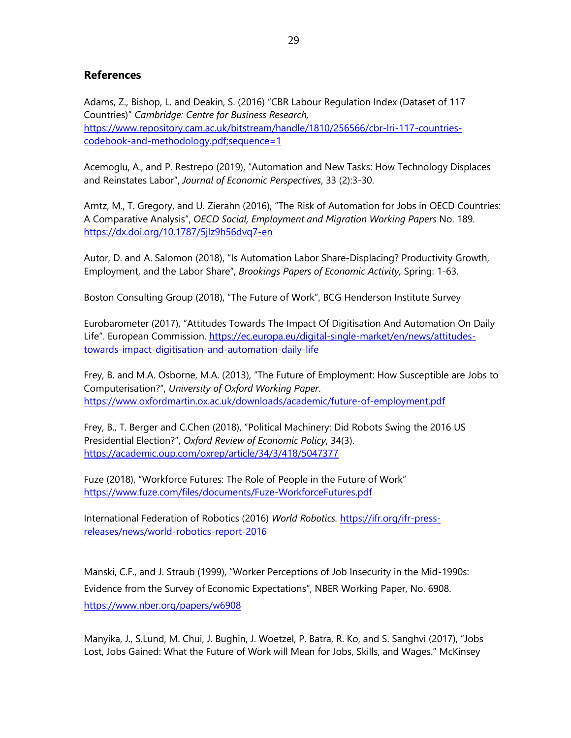# **References**

Adams, Z., Bishop, L. and Deakin, S. (2016) "CBR Labour Regulation Index (Dataset of 117 Countries)" *Cambridge: Centre for Business Research,*  [https://www.repository.cam.ac.uk/bitstream/handle/1810/256566/cbr-lri-117-countries](https://www.repository.cam.ac.uk/bitstream/handle/1810/256566/cbr-lri-117-countries-codebook-and-methodology.pdf;sequence=1)[codebook-and-methodology.pdf;sequence=1](https://www.repository.cam.ac.uk/bitstream/handle/1810/256566/cbr-lri-117-countries-codebook-and-methodology.pdf;sequence=1)

Acemoglu, A., and P. Restrepo (2019), "Automation and New Tasks: How Technology Displaces and Reinstates Labor", *Journal of Economic Perspectives*, 33 (2):3-30.

Arntz, M., T. Gregory, and U. Zierahn (2016), "The Risk of Automation for Jobs in OECD Countries: A Comparative Analysis", *OECD Social, Employment and Migration Working Papers* No. 189. <https://dx.doi.org/10.1787/5jlz9h56dvq7-en>

Autor, D. and A. Salomon (2018), "Is Automation Labor Share-Displacing? Productivity Growth, Employment, and the Labor Share", *Brookings Papers of Economic Activity,* Spring: 1-63.

Boston Consulting Group (2018), "The Future of Work", BCG Henderson Institute Survey

Eurobarometer (2017), "Attitudes Towards The Impact Of Digitisation And Automation On Daily Life". European Commission. [https://ec.europa.eu/digital-single-market/en/news/attitudes](https://ec.europa.eu/digital-single-market/en/news/attitudes-towards-impact-digitisation-and-automation-daily-life)[towards-impact-digitisation-and-automation-daily-life](https://ec.europa.eu/digital-single-market/en/news/attitudes-towards-impact-digitisation-and-automation-daily-life)

Frey, B. and M.A. Osborne, M.A. (2013), "The Future of Employment: How Susceptible are Jobs to Computerisation?", *University of Oxford Working Paper*. <https://www.oxfordmartin.ox.ac.uk/downloads/academic/future-of-employment.pdf>

Frey, B., T. Berger and C.Chen (2018), "Political Machinery: Did Robots Swing the 2016 US Presidential Election?", *Oxford Review of Economic Policy*, 34(3). <https://academic.oup.com/oxrep/article/34/3/418/5047377>

Fuze (2018), "Workforce Futures: The Role of People in the Future of Work" <https://www.fuze.com/files/documents/Fuze-WorkforceFutures.pdf>

International Federation of Robotics (2016) *World Robotics.* [https://ifr.org/ifr-press](https://ifr.org/ifr-press-releases/news/world-robotics-report-2016)[releases/news/world-robotics-report-2016](https://ifr.org/ifr-press-releases/news/world-robotics-report-2016)

Manski, C.F., and J. Straub (1999), "Worker Perceptions of Job Insecurity in the Mid-1990s: Evidence from the Survey of Economic Expectations", NBER Working Paper, No. 6908. <https://www.nber.org/papers/w6908>

Manyika, J., [S.Lund,](https://www.mckinsey.com/our-people/susan-lund) [M. Chui,](https://www.mckinsey.com/our-people/michael-chui) [J. Bughin,](https://www.mckinsey.com/our-people/jacques-bughin) [J. Woetzel,](https://www.mckinsey.com/our-people/jonathan-woetzel) P. Batra, R. Ko, and S. Sanghvi (2017), "Jobs Lost, Jobs Gained: What the Future of Work will Mean for Jobs, Skills, and Wages." McKinsey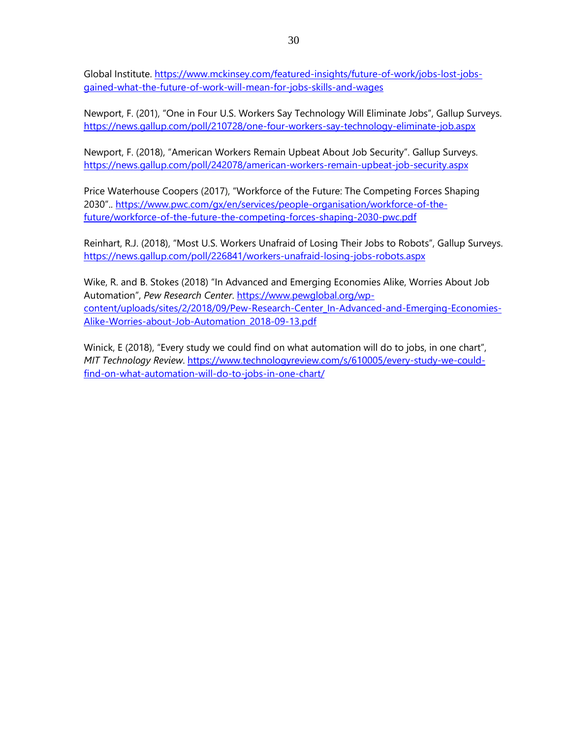Global Institute. [https://www.mckinsey.com/featured-insights/future-of-work/jobs-lost-jobs](https://www.mckinsey.com/featured-insights/future-of-work/jobs-lost-jobs-gained-what-the-future-of-work-will-mean-for-jobs-skills-and-wages)[gained-what-the-future-of-work-will-mean-for-jobs-skills-and-wages](https://www.mckinsey.com/featured-insights/future-of-work/jobs-lost-jobs-gained-what-the-future-of-work-will-mean-for-jobs-skills-and-wages)

Newport, F. (201), "One in Four U.S. Workers Say Technology Will Eliminate Jobs", Gallup Surveys. https://news.gallup.com/poll/210728/one-four-workers-say-technology-eliminate-job.aspx

Newport, F. (2018), "American Workers Remain Upbeat About Job Security". Gallup Surveys. <https://news.gallup.com/poll/242078/american-workers-remain-upbeat-job-security.aspx>

Price Waterhouse Coopers (2017), "Workforce of the Future: The Competing Forces Shaping 2030".. [https://www.pwc.com/gx/en/services/people-organisation/workforce-of-the](https://www.pwc.com/gx/en/services/people-organisation/workforce-of-the-future/workforce-of-the-future-the-competing-forces-shaping-2030-pwc.pdf)[future/workforce-of-the-future-the-competing-forces-shaping-2030-pwc.pdf](https://www.pwc.com/gx/en/services/people-organisation/workforce-of-the-future/workforce-of-the-future-the-competing-forces-shaping-2030-pwc.pdf)

Reinhart, R.J. (2018), "Most U.S. Workers Unafraid of Losing Their Jobs to Robots", Gallup Surveys. <https://news.gallup.com/poll/226841/workers-unafraid-losing-jobs-robots.aspx>

Wike, R. and B. Stokes (2018) "In Advanced and Emerging Economies Alike, Worries About Job Automation", *Pew Research Center*. [https://www.pewglobal.org/wp](https://www.pewglobal.org/wp-content/uploads/sites/2/2018/09/Pew-Research-Center_In-Advanced-and-Emerging-Economies-Alike-Worries-about-Job-Automation_2018-09-13.pdf)[content/uploads/sites/2/2018/09/Pew-Research-Center\\_In-Advanced-and-Emerging-Economies-](https://www.pewglobal.org/wp-content/uploads/sites/2/2018/09/Pew-Research-Center_In-Advanced-and-Emerging-Economies-Alike-Worries-about-Job-Automation_2018-09-13.pdf)[Alike-Worries-about-Job-Automation\\_2018-09-13.pdf](https://www.pewglobal.org/wp-content/uploads/sites/2/2018/09/Pew-Research-Center_In-Advanced-and-Emerging-Economies-Alike-Worries-about-Job-Automation_2018-09-13.pdf)

Winick, E (2018), "Every study we could find on what automation will do to jobs, in one chart", *MIT Technology Review*. [https://www.technologyreview.com/s/610005/every-study-we-could](https://www.technologyreview.com/s/610005/every-study-we-could-find-on-what-automation-will-do-to-jobs-in-one-chart/)[find-on-what-automation-will-do-to-jobs-in-one-chart/](https://www.technologyreview.com/s/610005/every-study-we-could-find-on-what-automation-will-do-to-jobs-in-one-chart/)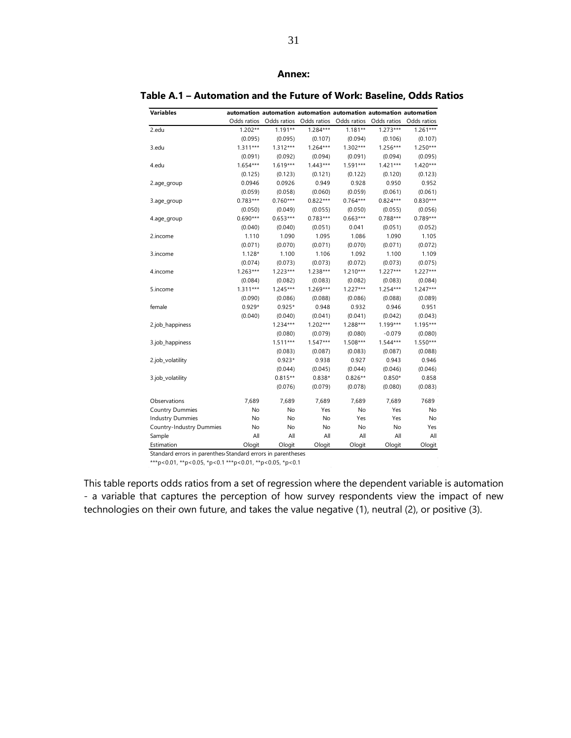#### **Annex:**

#### **Table A.1 – Automation and the Future of Work: Baseline, Odds Ratios**

| <b>Variables</b>         |             |             | automation automation automation automation automation automation |             |             |             |
|--------------------------|-------------|-------------|-------------------------------------------------------------------|-------------|-------------|-------------|
|                          | Odds ratios | Odds ratios | Odds ratios                                                       | Odds ratios | Odds ratios | Odds ratios |
| 2.edu                    | $1.202**$   | $1.191**$   | $1.284***$                                                        | $1.181**$   | $1.273***$  | $1.261***$  |
|                          | (0.095)     | (0.095)     | (0.107)                                                           | (0.094)     | (0.106)     | (0.107)     |
| 3.edu                    | $1.311***$  | $1.312***$  | $1.264***$                                                        | $1.302***$  | $1.256***$  | $1.250***$  |
|                          | (0.091)     | (0.092)     | (0.094)                                                           | (0.091)     | (0.094)     | (0.095)     |
| 4.edu                    | $1.654***$  | $1.619***$  | $1.443***$                                                        | $1.591***$  | $1.421***$  | $1.420***$  |
|                          | (0.125)     | (0.123)     | (0.121)                                                           | (0.122)     | (0.120)     | (0.123)     |
| 2.age_group              | 0.0946      | 0.0926      | 0.949                                                             | 0.928       | 0.950       | 0.952       |
|                          | (0.059)     | (0.058)     | (0.060)                                                           | (0.059)     | (0.061)     | (0.061)     |
| 3.age_group              | $0.783***$  | $0.760***$  | $0.822***$                                                        | $0.764***$  | $0.824***$  | $0.830***$  |
|                          | (0.050)     | (0.049)     | (0.055)                                                           | (0.050)     | (0.055)     | (0.056)     |
| 4.age_group              | $0.690***$  | $0.653***$  | $0.783***$                                                        | $0.663***$  | $0.788***$  | $0.789***$  |
|                          | (0.040)     | (0.040)     | (0.051)                                                           | 0.041       | (0.051)     | (0.052)     |
| 2.income                 | 1.110       | 1.090       | 1.095                                                             | 1.086       | 1.090       | 1.105       |
|                          | (0.071)     | (0.070)     | (0.071)                                                           | (0.070)     | (0.071)     | (0.072)     |
| 3.income                 | $1.128*$    | 1.100       | 1.106                                                             | 1.092       | 1.100       | 1.109       |
|                          | (0.074)     | (0.073)     | (0.073)                                                           | (0.072)     | (0.073)     | (0.075)     |
| 4.income                 | $1.263***$  | $1.223***$  | $1.238***$                                                        | $1.210***$  | $1.227***$  | $1.227***$  |
|                          | (0.084)     | (0.082)     | (0.083)                                                           | (0.082)     | (0.083)     | (0.084)     |
| 5.income                 | $1.311***$  | $1.245***$  | $1.269***$                                                        | $1.227***$  | $1.254***$  | $1.247***$  |
|                          | (0.090)     | (0.086)     | (0.088)                                                           | (0.086)     | (0.088)     | (0.089)     |
| female                   | $0.929*$    | $0.925*$    | 0.948                                                             | 0.932       | 0.946       | 0.951       |
|                          | (0.040)     | (0.040)     | (0.041)                                                           | (0.041)     | (0.042)     | (0.043)     |
| 2.job_happiness          |             | $1.234***$  | $1.202***$                                                        | $1.288***$  | $1.199***$  | $1.195***$  |
|                          |             | (0.080)     | (0.079)                                                           | (0.080)     | $-0.079$    | (0.080)     |
| 3.job_happiness          |             | $1.511***$  | $1.547***$                                                        | $1.508***$  | $1.544***$  | $1.550***$  |
|                          |             | (0.083)     | (0.087)                                                           | (0.083)     | (0.087)     | (0.088)     |
| 2.job_volatility         |             | $0.923*$    | 0.938                                                             | 0.927       | 0.943       | 0.946       |
|                          |             | (0.044)     | (0.045)                                                           | (0.044)     | (0.046)     | (0.046)     |
| 3.job_volatility         |             | $0.815**$   | $0.838*$                                                          | $0.826**$   | $0.850*$    | 0.858       |
|                          |             | (0.076)     | (0.079)                                                           | (0.078)     | (0.080)     | (0.083)     |
| Observations             | 7,689       | 7,689       | 7,689                                                             | 7,689       | 7,689       | 7689        |
| <b>Country Dummies</b>   | No          | No          | Yes                                                               | No          | Yes         | No          |
| <b>Industry Dummies</b>  | No          | No          | No                                                                | Yes         | Yes         | No          |
| Country-Industry Dummies | No          | No          | No                                                                | No          | No          | Yes         |
| Sample                   | All         | All         | All                                                               | All         | All         | All         |
| Estimation               | Ologit      | Ologit      | Ologit                                                            | Ologit      | Ologit      | Ologit      |

Standard errors in parenthese Standard errors in parentheses

\*\*\*p<0.01, \*\*p<0.05, \*p<0.1 \*\*\*p<0.01, \*\*p<0.05, \*p<0.1

This table reports odds ratios from a set of regression where the dependent variable is automation - a variable that captures the perception of how survey respondents view the impact of new technologies on their own future, and takes the value negative (1), neutral (2), or positive (3).